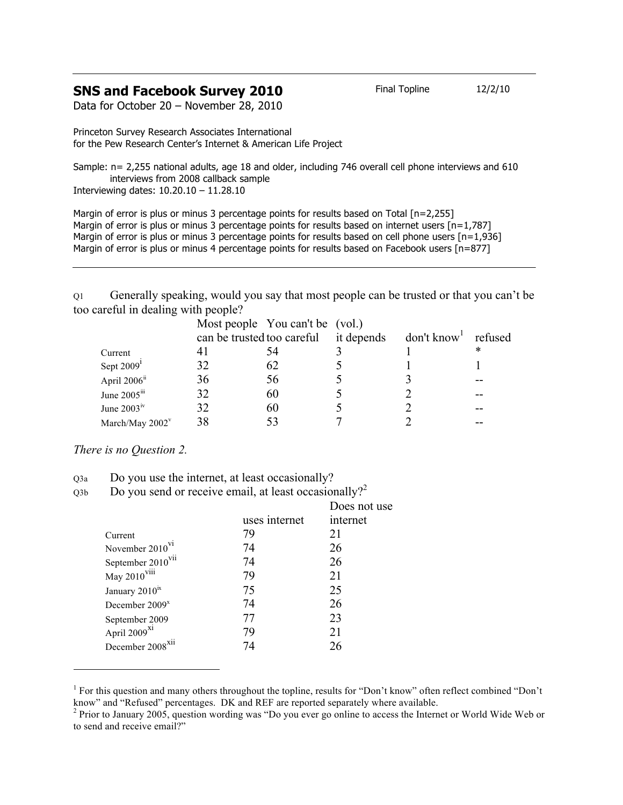## **SNS and Facebook Survey 2010** Final Topline 12/2/10

Data for October 20 – November 28, 2010

Princeton Survey Research Associates International for the Pew Research Center's Internet & American Life Project

Sample: n= 2,255 national adults, age 18 and older, including 746 overall cell phone interviews and 610 interviews from 2008 callback sample Interviewing dates: 10.20.10 – 11.28.10

Margin of error is plus or minus 3 percentage points for results based on Total [n=2,255] Margin of error is plus or minus 3 percentage points for results based on internet users  $[n=1.787]$ Margin of error is plus or minus 3 percentage points for results based on cell phone users [n=1,936] Margin of error is plus or minus 4 percentage points for results based on Facebook users [n=877]

Q1 Generally speaking, would you say that most people can be trusted or that you can't be too careful in dealing with people?

|                          |     | Most people You can't be (vol.) |            |                       |   |
|--------------------------|-----|---------------------------------|------------|-----------------------|---|
|                          |     | can be trusted too careful      | it depends | $don't know1$ refused |   |
| Current                  | 4 I |                                 |            |                       | * |
| Sept $20091$             | 32  | 62                              |            |                       |   |
| April 2006 <sup>ii</sup> | 36  | 56                              |            |                       |   |
| June 2005iii             | 32  | 60                              |            |                       |   |
| June $2003^{\rm iv}$     | 32  | 60                              |            |                       |   |
| March/May $2002^v$       | 38  |                                 |            |                       |   |

*There is no Question 2.*

 $\overline{a}$ 

| Q3a | Do you use the internet, at least occasionally? |  |
|-----|-------------------------------------------------|--|
|     |                                                 |  |

 $Q3b$  Do you send or receive email, at least occasionally?<sup>2</sup>

|                               |               | Does not use |
|-------------------------------|---------------|--------------|
|                               | uses internet | internet     |
| Current                       | 79            | 21           |
| November 2010 <sup>VI</sup>   | 74            | 26           |
| September 2010 <sup>vii</sup> | 74            | 26           |
| May 2010 <sup>viii</sup>      | 79            | 21           |
| January 2010 <sup>ix</sup>    | 75            | 25           |
| December 2009 <sup>x</sup>    | 74            | 26           |
| September 2009                | 77            | 23           |
| April 2009 <sup>x1</sup>      | 79            | 21           |
| December 2008 <sup>XII</sup>  | 74            | 26           |
|                               |               |              |

<sup>&</sup>lt;sup>1</sup> For this question and many others throughout the topline, results for "Don't know" often reflect combined "Don't know" and "Refused" percentages. DK and REF are reported separately where available.

<sup>&</sup>lt;sup>2</sup> Prior to January 2005, question wording was "Do you ever go online to access the Internet or World Wide Web or to send and receive email?"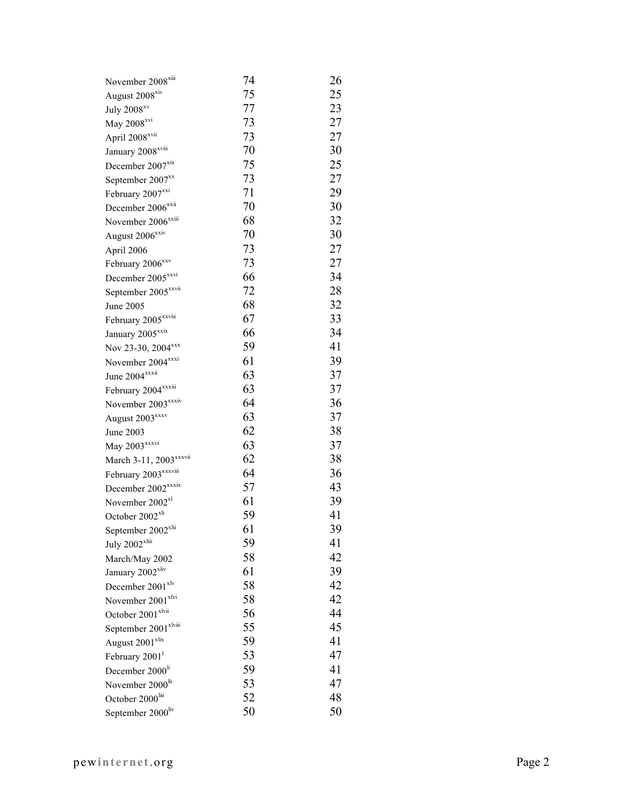| November 2008 <sup>xiii</sup>      | 74 | 26 |
|------------------------------------|----|----|
| August 2008 <sup>xiv</sup>         | 75 | 25 |
| July 2008 <sup>xv</sup>            | 77 | 23 |
| May 2008 <sup>xvi</sup>            | 73 | 27 |
| April 2008 <sup>xvii</sup>         | 73 | 27 |
| January 2008 <sup>xviii</sup>      | 70 | 30 |
| December 2007 <sup>xix</sup>       | 75 | 25 |
| September 2007 <sup>xx</sup>       | 73 | 27 |
| February 2007 <sup>xxi</sup>       | 71 | 29 |
| December 2006 <sup>xxii</sup>      | 70 | 30 |
| November 2006 <sup>xxiii</sup>     | 68 | 32 |
| August 2006 <sup>xxiv</sup>        | 70 | 30 |
| April 2006                         | 73 | 27 |
| February 2006 <sup>xxv</sup>       | 73 | 27 |
| December 2005 <sup>xxvi</sup>      | 66 | 34 |
| September 2005 <sup>xxvii</sup>    | 72 | 28 |
| June 2005                          | 68 | 32 |
| February 2005 <sup>xxviii</sup>    | 67 | 33 |
| January 2005 <sup>xxix</sup>       | 66 | 34 |
| Nov 23-30, 2004 <sup>xxx</sup>     | 59 | 41 |
| November 2004 <sup>xxxi</sup>      | 61 | 39 |
| June 2004 <sup>xxxii</sup>         | 63 | 37 |
| February 2004 <sup>xxxiii</sup>    | 63 | 37 |
| November 2003 <sup>xxxiv</sup>     | 64 | 36 |
| August 2003 <sup>xxxv</sup>        | 63 | 37 |
| June 2003                          | 62 | 38 |
| May 2003 <sup>xxxvi</sup>          | 63 | 37 |
| March 3-11, 2003 <sup>xxxvii</sup> | 62 | 38 |
| February 2003 <sup>xxxviii</sup>   | 64 | 36 |
| December 2002 <sup>xxxix</sup>     | 57 | 43 |
| November 2002 <sup>xl</sup>        | 61 | 39 |
| October 2002 <sup>xli</sup>        | 59 | 41 |
| September 2002 <sup>xlii</sup>     | 61 | 39 |
| July $2002$ <sup>xliii</sup>       | 59 | 41 |
| March/May 2002                     | 58 | 42 |
| January 2002 <sup>xliv</sup>       | 61 | 39 |
| December 2001 <sup>xlv</sup>       | 58 | 42 |
| November 2001 <sup>xlvi</sup>      | 58 | 42 |
| October 2001 <sup>xlvii</sup>      | 56 | 44 |
| September 2001 <sup>xlviii</sup>   | 55 | 45 |
| August 2001 <sup>xlix</sup>        | 59 | 41 |
| February 2001 <sup>1</sup>         | 53 | 47 |
| December 2000 <sup>li</sup>        | 59 | 41 |
| November 2000 <sup>lii</sup>       | 53 | 47 |
| October 2000liii                   | 52 | 48 |
| September 2000liv                  | 50 | 50 |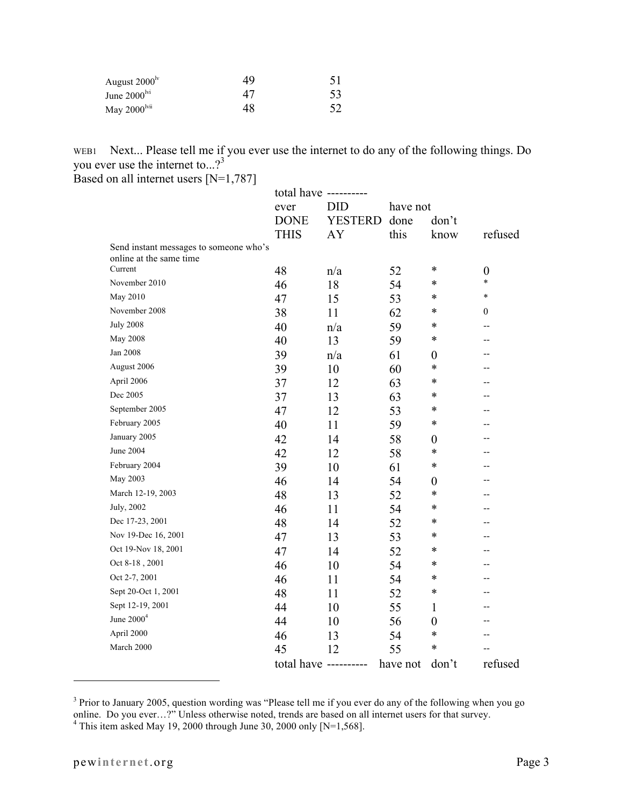| August $2000^{\rm ly}$   | 49 | 51 |
|--------------------------|----|----|
| June $2000^{\text{lvi}}$ | 47 | 53 |
| May $2000^{\text{lvii}}$ | 48 | 52 |

WEB1 Next... Please tell me if you ever use the internet to do any of the following things. Do you ever use the internet to...?<sup>3</sup>

Based on all internet users [N=1,787]

|                                        |             | total have ---------- |          |                  |                            |
|----------------------------------------|-------------|-----------------------|----------|------------------|----------------------------|
|                                        | ever        | <b>DID</b>            | have not |                  |                            |
|                                        | <b>DONE</b> | <b>YESTERD</b>        | done     | don't            |                            |
|                                        | <b>THIS</b> | AY                    | this     | know             | refused                    |
| Send instant messages to someone who's |             |                       |          |                  |                            |
| online at the same time<br>Current     |             |                       |          | $\ast$           |                            |
| November 2010                          | 48          | n/a                   | 52       | $\ast$           | $\boldsymbol{0}$<br>$\ast$ |
| May 2010                               | 46          | 18                    | 54       | $\ast$           | $\ast$                     |
| November 2008                          | 47          | 15                    | 53       | *                |                            |
|                                        | 38          | 11                    | 62       |                  | $\boldsymbol{0}$           |
| <b>July 2008</b>                       | 40          | n/a                   | 59       | $\ast$           | --                         |
| <b>May 2008</b>                        | 40          | 13                    | 59       | $\ast$           | --                         |
| Jan 2008                               | 39          | n/a                   | 61       | 0                | --                         |
| August 2006                            | 39          | 10                    | 60       | $\ast$           | --                         |
| April 2006                             | 37          | 12                    | 63       | *                | --                         |
| Dec 2005                               | 37          | 13                    | 63       | ∗                | --                         |
| September 2005                         | 47          | 12                    | 53       | *                | --                         |
| February 2005                          | 40          | 11                    | 59       | ∗                | --                         |
| January 2005                           | 42          | 14                    | 58       | $\boldsymbol{0}$ |                            |
| June 2004                              | 42          | 12                    | 58       | $\ast$           |                            |
| February 2004                          | 39          | 10                    | 61       | $\ast$           |                            |
| May 2003                               | 46          | 14                    | 54       | $\boldsymbol{0}$ |                            |
| March 12-19, 2003                      | 48          | 13                    | 52       | *                |                            |
| July, 2002                             | 46          | 11                    | 54       | $\ast$           | --                         |
| Dec 17-23, 2001                        | 48          | 14                    | 52       | $\ast$           | --                         |
| Nov 19-Dec 16, 2001                    | 47          | 13                    | 53       | $\ast$           | --                         |
| Oct 19-Nov 18, 2001                    | 47          | 14                    | 52       | $\ast$           | --                         |
| Oct 8-18, 2001                         | 46          | 10                    | 54       | $\ast$           | --                         |
| Oct 2-7, 2001                          | 46          | 11                    | 54       | $\ast$           |                            |
| Sept 20-Oct 1, 2001                    | 48          | 11                    | 52       | $\ast$           | --                         |
| Sept 12-19, 2001                       | 44          | 10                    | 55       | 1                |                            |
| June 2000 <sup>4</sup>                 | 44          | 10                    | 56       | $\boldsymbol{0}$ |                            |
| April 2000                             | 46          | 13                    | 54       | $\ast$           | --                         |
| March 2000                             | 45          | 12                    | 55       | $\ast$           |                            |
|                                        |             | total have ---------- | have not | don't            | refused                    |

<sup>&</sup>lt;sup>3</sup> Prior to January 2005, question wording was "Please tell me if you ever do any of the following when you go online. Do you ever...?" Unless otherwise noted, trends are based on all internet users for that survey.<br><sup>4</sup> This item asked May 19, 2000 through June 30, 2000 only [N=1,568].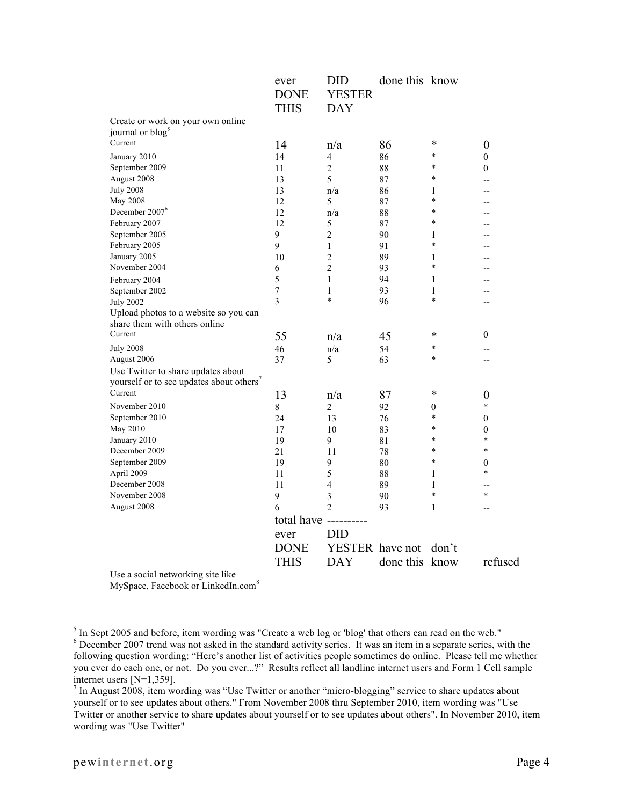|                                          | ever<br><b>DONE</b><br><b>THIS</b> | <b>DID</b><br><b>YESTER</b><br><b>DAY</b> | done this know |                |                  |
|------------------------------------------|------------------------------------|-------------------------------------------|----------------|----------------|------------------|
| Create or work on your own online        |                                    |                                           |                |                |                  |
| journal or blog <sup>5</sup>             |                                    |                                           |                |                |                  |
| Current                                  | 14                                 | n/a                                       | 86             | *              | $\boldsymbol{0}$ |
| January 2010                             | 14                                 | 4                                         | 86             | $\ast$         | $\boldsymbol{0}$ |
| September 2009                           | 11                                 | 2                                         | 88             | *              | $\boldsymbol{0}$ |
| August 2008                              | 13                                 | 5                                         | 87             | $\ast$         | --               |
| <b>July 2008</b>                         | 13                                 | n/a                                       | 86             | 1              | --               |
| <b>May 2008</b>                          | 12                                 | 5                                         | 87             | $\ast$         | --               |
| December 2007 <sup>6</sup>               | 12                                 | n/a                                       | 88             | $\ast$         | --               |
| February 2007                            | 12                                 | 5                                         | 87             | $\ast$         |                  |
| September 2005                           | 9                                  | $\overline{2}$                            | 90             | 1              |                  |
| February 2005                            | 9                                  | $\mathbf{1}$                              | 91             | $\ast$         |                  |
| January 2005                             | 10                                 | $\overline{c}$                            | 89             | 1              |                  |
| November 2004                            | 6                                  | $\overline{2}$                            | 93             | $\ast$         |                  |
| February 2004                            | 5                                  | 1                                         | 94             | 1              | --               |
| September 2002                           | $\overline{7}$                     | 1                                         | 93             | 1              | --               |
| <b>July 2002</b>                         | 3                                  | $\ast$                                    | 96             | $\ast$         | $-$              |
| Upload photos to a website so you can    |                                    |                                           |                |                |                  |
| share them with others online            |                                    |                                           |                |                |                  |
| Current                                  | 55                                 | n/a                                       | 45             | *              | $\boldsymbol{0}$ |
| <b>July 2008</b>                         | 46                                 | n/a                                       | 54             | $\ast$         | $-$              |
| August 2006                              | 37                                 | 5                                         | 63             | *              | $\overline{a}$   |
| Use Twitter to share updates about       |                                    |                                           |                |                |                  |
| yourself or to see updates about others' |                                    |                                           |                |                |                  |
| Current                                  | 13                                 | n/a                                       | 87             | *              | $\boldsymbol{0}$ |
| November 2010                            | $8\,$                              | $\overline{2}$                            | 92             | $\overline{0}$ | $\ast$           |
| September 2010                           | 24                                 | 13                                        | 76             | $\ast$         | $\mathbf{0}$     |
| May 2010                                 | 17                                 | 10                                        | 83             | $\ast$         | $\mathbf{0}$     |
| January 2010                             | 19                                 | 9                                         | 81             | *              | $\ast$           |
| December 2009                            | 21                                 | 11                                        | 78             | $\ast$         | $\ast$           |
| September 2009                           | 19                                 | 9                                         | 80             | $\ast$         | $\mathbf{0}$     |
| April 2009                               | 11                                 | 5                                         | 88             | 1              | *                |
| December 2008                            | 11                                 | $\overline{4}$                            | 89             | 1              | --               |
| November 2008                            | 9                                  | 3                                         | 90             | $\ast$         | $\ast$           |
| August 2008                              | 6                                  | $\overline{2}$                            | 93             | 1              | --               |
|                                          | total have -                       | ---------                                 |                |                |                  |
|                                          | ever                               | <b>DID</b>                                |                |                |                  |
|                                          | <b>DONE</b>                        | YESTER have not                           |                | don't          |                  |
|                                          | <b>THIS</b>                        | <b>DAY</b>                                | done this know |                | refused          |
| Use a social networking site like        |                                    |                                           |                |                |                  |

MySpace, Facebook or LinkedIn.com<sup>8</sup>

<sup>&</sup>lt;sup>5</sup> In Sept 2005 and before, item wording was "Create a web log or 'blog' that others can read on the web."<br><sup>6</sup> December 2007 trand was not calcd in the standard estimity exists. It was an item in a separate exists with <sup>6</sup> December 2007 trend was not asked in the standard activity series. It was an item in a separate series, with the following question wording: "Here's another list of activities people sometimes do online. Please tell me whether you ever do each one, or not. Do you ever...?" Results reflect all landline internet users and Form 1 Cell sample internet users [N=1,359].

 $<sup>7</sup>$  In August 2008, item wording was "Use Twitter or another "micro-blogging" service to share updates about</sup> yourself or to see updates about others." From November 2008 thru September 2010, item wording was "Use Twitter or another service to share updates about yourself or to see updates about others". In November 2010, item wording was "Use Twitter"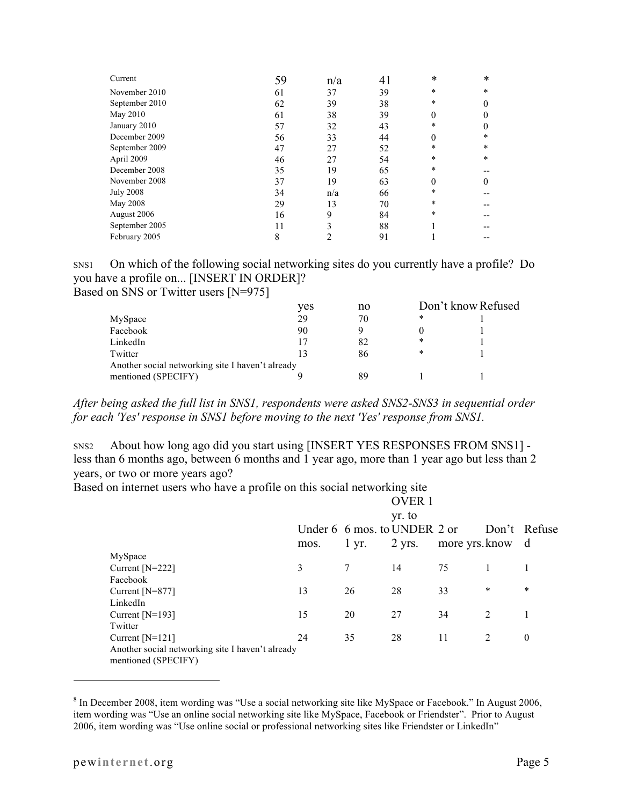| Current          | 59 | n/a | 41 | $\ast$   | $\ast$       |
|------------------|----|-----|----|----------|--------------|
| November 2010    | 61 | 37  | 39 | *        | $\ast$       |
| September 2010   | 62 | 39  | 38 | $\ast$   | $\mathbf{0}$ |
| May 2010         | 61 | 38  | 39 | $\theta$ | $\mathbf{0}$ |
| January 2010     | 57 | 32  | 43 | *        | $\theta$     |
| December 2009    | 56 | 33  | 44 | $\Omega$ | $\ast$       |
| September 2009   | 47 | 27  | 52 | *        | $\ast$       |
| April 2009       | 46 | 27  | 54 | *        | $\ast$       |
| December 2008    | 35 | 19  | 65 | *        |              |
| November 2008    | 37 | 19  | 63 | $\theta$ | $\theta$     |
| <b>July 2008</b> | 34 | n/a | 66 | *        |              |
| <b>May 2008</b>  | 29 | 13  | 70 | $\ast$   |              |
| August 2006      | 16 | 9   | 84 | $\ast$   |              |
| September 2005   | 11 | 3   | 88 |          |              |
| February 2005    | 8  |     | 91 |          |              |

SNS1 On which of the following social networking sites do you currently have a profile? Do you have a profile on... [INSERT IN ORDER]? Based on SNS or Twitter users [N=975]

|                                                  | ves | no | Don't know Refused |  |  |
|--------------------------------------------------|-----|----|--------------------|--|--|
| MySpace                                          | 29  | 70 | *                  |  |  |
| Facebook                                         | 90  |    |                    |  |  |
| LinkedIn                                         |     | 82 | *                  |  |  |
| Twitter                                          |     | 86 | *                  |  |  |
| Another social networking site I haven't already |     |    |                    |  |  |
| mentioned (SPECIFY)                              |     | 89 |                    |  |  |

*After being asked the full list in SNS1, respondents were asked SNS2-SNS3 in sequential order for each 'Yes' response in SNS1 before moving to the next 'Yes' response from SNS1.*

SNS2 About how long ago did you start using [INSERT YES RESPONSES FROM SNS1] less than 6 months ago, between 6 months and 1 year ago, more than 1 year ago but less than 2 years, or two or more years ago?

Based on internet users who have a profile on this social networking site

|                                                                         |      |            | <b>OVER1</b>                             |                  |                |                  |
|-------------------------------------------------------------------------|------|------------|------------------------------------------|------------------|----------------|------------------|
|                                                                         |      |            | yr. to                                   |                  |                |                  |
|                                                                         | mos. | $1 \, yr.$ | Under 6 6 mos. to UNDER 2 or<br>$2$ yrs. | more yrs. know d |                | Don't Refuse     |
| MySpace                                                                 |      |            |                                          |                  |                |                  |
| Current $[N=222]$                                                       | 3    | 7          | 14                                       | 75               |                |                  |
| Facebook                                                                |      |            |                                          |                  |                |                  |
| Current $[N=877]$                                                       | 13   | 26         | 28                                       | 33               | $\ast$         | $\ast$           |
| LinkedIn                                                                |      |            |                                          |                  |                |                  |
| Current $[N=193]$                                                       | 15   | 20         | 27                                       | 34               | 2              | 1                |
| Twitter                                                                 |      |            |                                          |                  |                |                  |
| Current $[N=121]$                                                       | 24   | 35         | 28                                       | 11               | $\overline{2}$ | $\boldsymbol{0}$ |
| Another social networking site I haven't already<br>mentioned (SPECIFY) |      |            |                                          |                  |                |                  |

<sup>8</sup> In December 2008, item wording was "Use a social networking site like MySpace or Facebook." In August 2006, item wording was "Use an online social networking site like MySpace, Facebook or Friendster". Prior to August 2006, item wording was "Use online social or professional networking sites like Friendster or LinkedIn"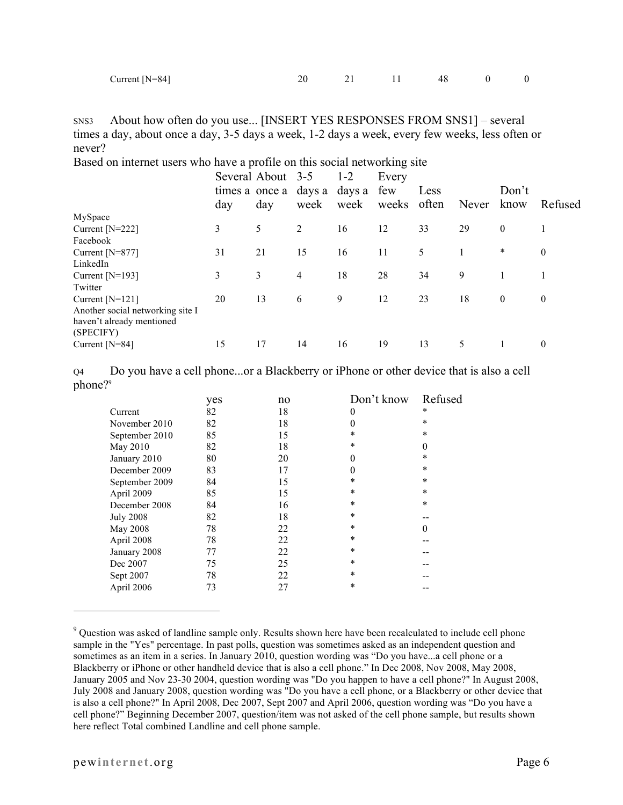| Current $[N=84]$ |  |
|------------------|--|
|                  |  |

| Current $[N=84]$ |  |  | $\overline{0}$ |
|------------------|--|--|----------------|

SNS3 About how often do you use... [INSERT YES RESPONSES FROM SNS1] – several times a day, about once a day, 3-5 days a week, 1-2 days a week, every few weeks, less often or never?

Based on internet users who have a profile on this social networking site

|                                  | day | Several About 3-5<br>day | times a once a days a<br>week | $1 - 2$<br>days a<br>week | Every<br>few<br>weeks often | Less | Never | Don't<br>know | Refused      |
|----------------------------------|-----|--------------------------|-------------------------------|---------------------------|-----------------------------|------|-------|---------------|--------------|
| MySpace                          |     |                          |                               |                           |                             |      |       |               |              |
| Current $[N=222]$                | 3   | 5                        | 2                             | 16                        | 12                          | 33   | 29    | $\mathbf{0}$  |              |
| Facebook                         |     |                          |                               |                           |                             |      |       |               |              |
| Current [N=877]                  | 31  | 21                       | 15                            | 16                        | 11                          | 5    |       | $\ast$        | $\mathbf{0}$ |
| LinkedIn                         |     |                          |                               |                           |                             |      |       |               |              |
| Current $[N=193]$                | 3   | 3                        | 4                             | 18                        | 28                          | 34   | 9     |               |              |
| Twitter                          |     |                          |                               |                           |                             |      |       |               |              |
| Current $[N=121]$                | 20  | 13                       | 6                             | 9                         | 12                          | 23   | 18    | $\mathbf{0}$  | $\theta$     |
| Another social networking site I |     |                          |                               |                           |                             |      |       |               |              |
| haven't already mentioned        |     |                          |                               |                           |                             |      |       |               |              |
| (SPECIFY)                        |     |                          |                               |                           |                             |      |       |               |              |
| Current $[N=84]$                 | 15  | 17                       | 14                            | 16                        | 19                          | 13   | 5     |               | $\theta$     |
|                                  |     |                          |                               |                           |                             |      |       |               |              |

Q4 Do you have a cell phone...or a Blackberry or iPhone or other device that is also a cell phone?<sup>9</sup>

|                  | yes | no | Don't know | Refused  |
|------------------|-----|----|------------|----------|
| Current          | 82  | 18 | 0          | $\ast$   |
| November 2010    | 82  | 18 | 0          | $\ast$   |
| September 2010   | 85  | 15 | *          | $\ast$   |
| May 2010         | 82  | 18 | $\ast$     | $\theta$ |
| January 2010     | 80  | 20 | 0          | $\ast$   |
| December 2009    | 83  | 17 | 0          | $\ast$   |
| September 2009   | 84  | 15 | *          | $\ast$   |
| April 2009       | 85  | 15 | $\ast$     | $\ast$   |
| December 2008    | 84  | 16 | $\ast$     | $\ast$   |
| <b>July 2008</b> | 82  | 18 | $\ast$     |          |
| May 2008         | 78  | 22 | $\ast$     | 0        |
| April 2008       | 78  | 22 | $\ast$     |          |
| January 2008     | 77  | 22 | $\ast$     |          |
| Dec 2007         | 75  | 25 | $\ast$     |          |
| Sept 2007        | 78  | 22 | $\ast$     |          |
| April 2006       | 73  | 27 | $\ast$     |          |
|                  |     |    |            |          |

<sup>9</sup> Question was asked of landline sample only. Results shown here have been recalculated to include cell phone sample in the "Yes" percentage. In past polls, question was sometimes asked as an independent question and sometimes as an item in a series. In January 2010, question wording was "Do you have...a cell phone or a Blackberry or iPhone or other handheld device that is also a cell phone." In Dec 2008, Nov 2008, May 2008, January 2005 and Nov 23-30 2004, question wording was "Do you happen to have a cell phone?" In August 2008, July 2008 and January 2008, question wording was "Do you have a cell phone, or a Blackberry or other device that is also a cell phone?" In April 2008, Dec 2007, Sept 2007 and April 2006, question wording was "Do you have a cell phone?" Beginning December 2007, question/item was not asked of the cell phone sample, but results shown here reflect Total combined Landline and cell phone sample.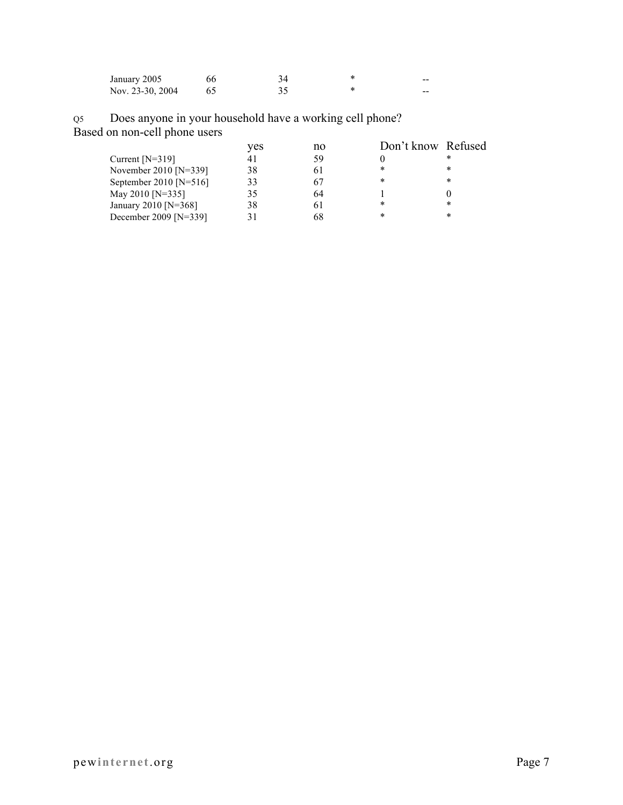| January 2005     | 66 |  | -- |
|------------------|----|--|----|
| Nov. 23-30, 2004 |    |  | -- |

Q5 Does anyone in your household have a working cell phone? Based on non-cell phone users

|                        | ves | no | Don't know Refused |        |
|------------------------|-----|----|--------------------|--------|
| Current $[N=319]$      | 41  | 59 |                    | $\ast$ |
| November 2010 [N=339]  | 38  |    | *                  | *      |
| September 2010 [N=516] | 33  |    | *                  | *      |
| May 2010 [N=335]       | 35  | 64 |                    |        |
| January 2010 [N=368]   | 38  |    | *                  | *      |
| December 2009 [N=339]  |     | 68 | *                  | $\ast$ |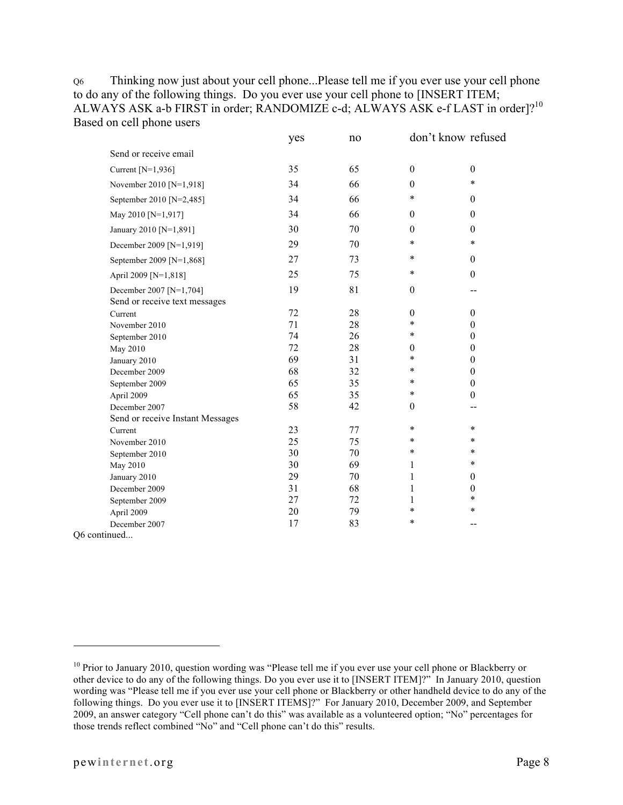Q6 Thinking now just about your cell phone...Please tell me if you ever use your cell phone to do any of the following things. Do you ever use your cell phone to [INSERT ITEM; ALWAYS ASK a-b FIRST in order; RANDOMIZE c-d; ALWAYS ASK e-f LAST in order]?<sup>10</sup> Based on cell phone users

|                                                          | yes | no |                  | don't know refused |
|----------------------------------------------------------|-----|----|------------------|--------------------|
| Send or receive email                                    |     |    |                  |                    |
| Current [N=1,936]                                        | 35  | 65 | $\boldsymbol{0}$ | $\boldsymbol{0}$   |
| November 2010 [N=1,918]                                  | 34  | 66 | $\theta$         | $\ast$             |
| September 2010 [N=2,485]                                 | 34  | 66 | $\ast$           | $\boldsymbol{0}$   |
| May 2010 [N=1,917]                                       | 34  | 66 | $\theta$         | $\boldsymbol{0}$   |
| January 2010 [N=1,891]                                   | 30  | 70 | $\theta$         | $\theta$           |
| December 2009 [N=1,919]                                  | 29  | 70 | $\ast$           | $\ast$             |
| September 2009 [N=1,868]                                 | 27  | 73 | $\ast$           | $\boldsymbol{0}$   |
| April 2009 [N=1,818]                                     | 25  | 75 | $\ast$           | $\boldsymbol{0}$   |
| December 2007 [N=1,704]<br>Send or receive text messages | 19  | 81 | $\boldsymbol{0}$ | $-$                |
| Current                                                  | 72  | 28 | $\boldsymbol{0}$ | $\boldsymbol{0}$   |
| November 2010                                            | 71  | 28 | $\ast$           | $\boldsymbol{0}$   |
| September 2010                                           | 74  | 26 | $\ast$           | $\boldsymbol{0}$   |
| May 2010                                                 | 72  | 28 | $\theta$         | $\boldsymbol{0}$   |
| January 2010                                             | 69  | 31 | $\ast$           | $\boldsymbol{0}$   |
| December 2009                                            | 68  | 32 | $\ast$           | $\boldsymbol{0}$   |
| September 2009                                           | 65  | 35 | $\ast$           | $\boldsymbol{0}$   |
| April 2009                                               | 65  | 35 | $\ast$           | $\boldsymbol{0}$   |
| December 2007                                            | 58  | 42 | $\theta$         | --                 |
| Send or receive Instant Messages                         |     |    |                  |                    |
| Current                                                  | 23  | 77 | $\ast$           | $\ast$             |
| November 2010                                            | 25  | 75 | $\ast$           | $\ast$             |
| September 2010                                           | 30  | 70 | $\ast$           | $\ast$             |
| May 2010                                                 | 30  | 69 | 1                | $\ast$             |
| January 2010                                             | 29  | 70 | 1                | $\theta$           |
| December 2009                                            | 31  | 68 | 1                | $\boldsymbol{0}$   |
| September 2009                                           | 27  | 72 | 1                | $\ast$             |
| April 2009                                               | 20  | 79 | $\ast$           | $\ast$             |
| December 2007                                            | 17  | 83 | $\ast$           |                    |
| Q6 continued                                             |     |    |                  |                    |

<sup>&</sup>lt;sup>10</sup> Prior to January 2010, question wording was "Please tell me if you ever use your cell phone or Blackberry or other device to do any of the following things. Do you ever use it to [INSERT ITEM]?" In January 2010, question wording was "Please tell me if you ever use your cell phone or Blackberry or other handheld device to do any of the following things. Do you ever use it to [INSERT ITEMS]?" For January 2010, December 2009, and September 2009, an answer category "Cell phone can't do this" was available as a volunteered option; "No" percentages for those trends reflect combined "No" and "Cell phone can't do this" results.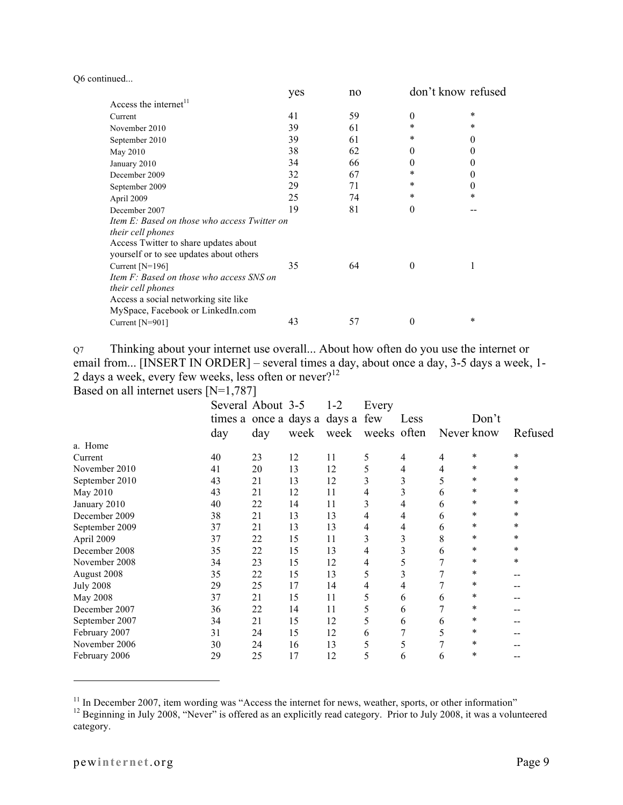|  | Q6 continued |
|--|--------------|
|--|--------------|

|                                              | yes | no |          | don't know refused |
|----------------------------------------------|-----|----|----------|--------------------|
| Access the internet <sup>11</sup>            |     |    |          |                    |
| Current                                      | 41  | 59 | $\theta$ | $\ast$             |
| November 2010                                | 39  | 61 | *        | *                  |
| September 2010                               | 39  | 61 | $\ast$   | $\theta$           |
| May 2010                                     | 38  | 62 | $\theta$ | $\theta$           |
| January 2010                                 | 34  | 66 | 0        | $\theta$           |
| December 2009                                | 32  | 67 | *        | $\theta$           |
| September 2009                               | 29  | 71 | *        | $\theta$           |
| April 2009                                   | 25  | 74 | $\ast$   | $\ast$             |
| December 2007                                | 19  | 81 | $\theta$ |                    |
| Item E: Based on those who access Twitter on |     |    |          |                    |
| their cell phones                            |     |    |          |                    |
| Access Twitter to share updates about        |     |    |          |                    |
| yourself or to see updates about others      |     |    |          |                    |
| Current [N=196]                              | 35  | 64 | $\theta$ | 1                  |
| Item F: Based on those who access SNS on     |     |    |          |                    |
| their cell phones                            |     |    |          |                    |
| Access a social networking site like         |     |    |          |                    |
| MySpace, Facebook or LinkedIn.com            |     |    |          |                    |
| Current $[N=901]$                            | 43  | 57 | 0        | $\ast$             |

Q7 Thinking about your internet use overall... About how often do you use the internet or email from... [INSERT IN ORDER] – several times a day, about once a day, 3-5 days a week, 1- 2 days a week, every few weeks, less often or never?<sup>12</sup>

Based on all internet users [N=1,787]

|                  | Several About 3-5                |     |      | $1 - 2$ | Every       |      |            |        |         |
|------------------|----------------------------------|-----|------|---------|-------------|------|------------|--------|---------|
|                  | times a once a days a days a few |     |      |         |             | Less |            | Don't  |         |
|                  | day                              | day | week | week    | weeks often |      | Never know |        | Refused |
| a. Home          |                                  |     |      |         |             |      |            |        |         |
| Current          | 40                               | 23  | 12   | 11      | 5           | 4    | 4          | $\ast$ | $\ast$  |
| November 2010    | 41                               | 20  | 13   | 12      | 5           | 4    | 4          | *      | $\ast$  |
| September 2010   | 43                               | 21  | 13   | 12      | 3           | 3    | 5          | $\ast$ | $\ast$  |
| May 2010         | 43                               | 21  | 12   | 11      | 4           | 3    | 6          | *      | $\ast$  |
| January 2010     | 40                               | 22  | 14   | 11      | 3           | 4    | 6          | *      | *       |
| December 2009    | 38                               | 21  | 13   | 13      | 4           | 4    | 6          | *      | *       |
| September 2009   | 37                               | 21  | 13   | 13      | 4           | 4    | 6          | $\ast$ | $\ast$  |
| April 2009       | 37                               | 22  | 15   | 11      | 3           | 3    | 8          | *      | $\ast$  |
| December 2008    | 35                               | 22  | 15   | 13      | 4           | 3    | 6          | *      | *       |
| November 2008    | 34                               | 23  | 15   | 12      | 4           | 5    |            | *      | *       |
| August 2008      | 35                               | 22  | 15   | 13      | 5           | 3    |            | $\ast$ | --      |
| <b>July 2008</b> | 29                               | 25  | 17   | 14      | 4           | 4    |            | *      | --      |
| <b>May 2008</b>  | 37                               | 21  | 15   | 11      | 5           | 6    | 6          | *      |         |
| December 2007    | 36                               | 22  | 14   | 11      | 5           | 6    |            | $\ast$ |         |
| September 2007   | 34                               | 21  | 15   | 12      | 5           | 6    | 6          | *      |         |
| February 2007    | 31                               | 24  | 15   | 12      | 6           |      | 5          | *      |         |
| November 2006    | 30                               | 24  | 16   | 13      | 5           | 5    |            | *      |         |
| February 2006    | 29                               | 25  | 17   | 12      | 5           | 6    | 6          | *      |         |

<sup>&</sup>lt;sup>11</sup> In December 2007, item wording was "Access the internet for news, weather, sports, or other information" <sup>12</sup> Beginning in July 2008, "Never" is offered as an explicitly read category. Prior to July 2008, it was a vo category.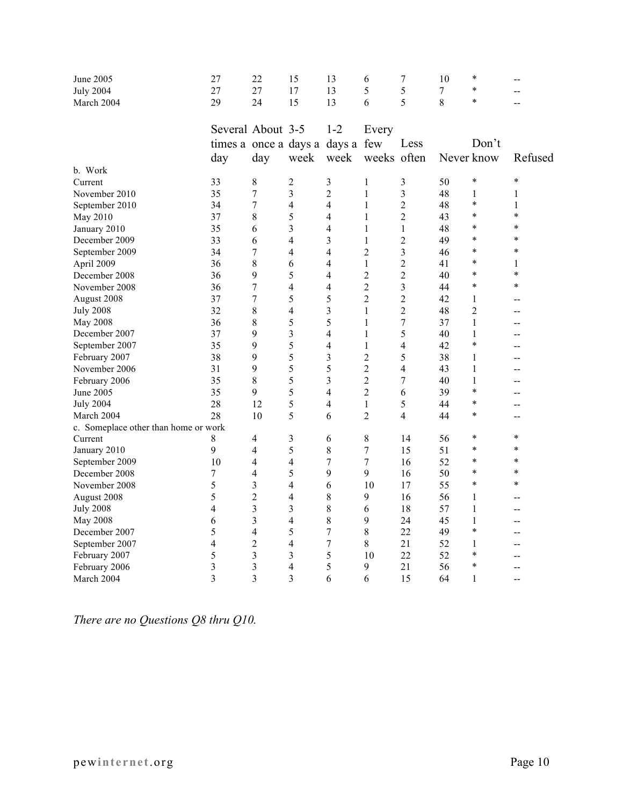| June 2005                            | 27                    | 22                      | 15             | 13               | 6                | $\tau$         | 10     | $\ast$         | --             |
|--------------------------------------|-----------------------|-------------------------|----------------|------------------|------------------|----------------|--------|----------------|----------------|
| <b>July 2004</b>                     | 27                    | 27                      | 17             | 13               | 5                | 5              | $\tau$ | $\ast$         | --             |
| March 2004                           | 29                    | 24                      | 15             | 13               | 6                | 5              | 8      | $\ast$         | --             |
|                                      |                       |                         |                |                  |                  |                |        |                |                |
|                                      | Several About 3-5     |                         |                | $1 - 2$          | Every            |                |        |                |                |
|                                      | times a once a days a |                         |                | days a few       |                  | Less           |        | Don't          |                |
|                                      | day                   | day                     | week           | week             | weeks often      |                |        | Never know     | Refused        |
| b. Work                              |                       |                         |                |                  |                  |                |        |                |                |
| Current                              | 33                    | 8                       | $\overline{c}$ | $\mathfrak{Z}$   | 1                | $\mathfrak{Z}$ | 50     | $\ast$         | $\ast$         |
| November 2010                        | 35                    | $\overline{7}$          | 3              | $\overline{2}$   | $\mathbf{1}$     | $\overline{3}$ | 48     | 1              | 1              |
| September 2010                       | 34                    | 7                       | $\overline{4}$ | $\overline{4}$   | $\mathbf{1}$     | $\overline{2}$ | 48     | $\ast$         | 1              |
| May 2010                             | 37                    | 8                       | 5              | 4                | $\mathbf{1}$     | $\overline{2}$ | 43     | $\ast$         | $\ast$         |
| January 2010                         | 35                    | 6                       | 3              | 4                | $\mathbf{1}$     | $\mathbf{1}$   | 48     | $\ast$         | $\ast$         |
| December 2009                        | 33                    | 6                       | 4              | 3                | 1                | $\overline{2}$ | 49     | *              | $\ast$         |
| September 2009                       | 34                    | $\boldsymbol{7}$        | $\overline{4}$ | 4                | $\overline{2}$   | 3              | 46     | $\ast$         | $\ast$         |
| April 2009                           | 36                    | $\,$ $\,$               | 6              | 4                | $\mathbf{1}$     | $\overline{2}$ | 41     | $\ast$         | 1              |
| December 2008                        | 36                    | 9                       | 5              | $\overline{4}$   | $\overline{2}$   | $\overline{2}$ | 40     | $\ast$         | $\ast$         |
| November 2008                        | 36                    | $\overline{7}$          | $\overline{4}$ | $\overline{4}$   | $\overline{2}$   | 3              | 44     | $\ast$         | $\ast$         |
| August 2008                          | 37                    | $\boldsymbol{7}$        | 5              | 5                | $\overline{2}$   | $\overline{2}$ | 42     | $\mathbf{1}$   | $\overline{a}$ |
| <b>July 2008</b>                     | 32                    | 8                       | $\overline{4}$ | 3                | $\mathbf{1}$     | $\overline{2}$ | 48     | $\overline{2}$ | --             |
| <b>May 2008</b>                      | 36                    | 8                       | 5              | 5                | 1                | $\tau$         | 37     | 1              | $-$            |
| December 2007                        | 37                    | 9                       | $\overline{3}$ | $\overline{4}$   | $\mathbf{1}$     | 5              | 40     | $\mathbf{1}$   | --             |
| September 2007                       | 35                    | 9                       | 5              | 4                | 1                | $\overline{4}$ | 42     | $\ast$         | $-$            |
| February 2007                        | 38                    | 9                       | 5              | 3                | $\overline{c}$   | 5              | 38     | 1              | $-$            |
| November 2006                        | 31                    | 9                       | 5              | 5                | $\overline{c}$   | $\overline{4}$ | 43     | $\mathbf{1}$   | --             |
| February 2006                        | 35                    | 8                       | 5              | 3                | $\overline{2}$   | 7              | 40     | $\mathbf{1}$   | --             |
| June 2005                            | 35                    | 9                       | 5              | $\overline{4}$   | $\overline{2}$   | 6              | 39     | $\ast$         | --             |
| <b>July 2004</b>                     | 28                    | 12                      | 5              | 4                | 1                | 5              | 44     | $\ast$         | $-$            |
| March 2004                           | 28                    | 10                      | 5              | 6                | $\overline{2}$   | $\overline{4}$ | 44     | $\ast$         | $-$            |
| c. Someplace other than home or work |                       |                         |                |                  |                  |                |        |                |                |
| Current                              | 8                     | 4                       | 3              | 6                | 8                | 14             | 56     | $\ast$         | $\ast$         |
| January 2010                         | 9                     | $\overline{4}$          | 5              | 8                | $\overline{7}$   | 15             | 51     | $\ast$         | $\ast$         |
| September 2009                       | 10                    | 4                       | $\overline{4}$ | $\overline{7}$   | $\boldsymbol{7}$ | 16             | 52     | $\ast$         | $\ast$         |
| December 2008                        | 7                     | 4                       | 5              | 9                | 9                | 16             | 50     | $\ast$         | $\ast$         |
| November 2008                        | 5                     | 3                       | $\overline{4}$ | 6                | 10               | 17             | 55     | $\ast$         | $\ast$         |
| August 2008                          | 5                     | $\overline{2}$          | 4              | $\,8\,$          | 9                | 16             | 56     | 1              | --             |
| <b>July 2008</b>                     | $\overline{4}$        | 3                       | 3              | 8                | 6                | 18             | 57     | $\mathbf 1$    | $-$            |
| May 2008                             | 6                     | 3                       | $\overline{4}$ | 8                | 9                | 24             | 45     | $\mathbf{1}$   | $-$            |
| December 2007                        | 5                     | $\overline{4}$          | 5              | $\overline{7}$   | 8                | 22             | 49     | $\ast$         | --             |
| September 2007                       | 4                     | $\overline{2}$          | 4              | $\boldsymbol{7}$ | 8                | 21             | 52     | 1              | --             |
| February 2007                        | 5                     | 3                       | 3              | 5                | 10               | 22             | 52     | $\ast$         | --             |
| February 2006                        | 3                     | $\overline{\mathbf{3}}$ | $\overline{4}$ | 5                | 9                | 21             | 56     | $\ast$         | $-$            |
| March 2004                           | 3                     | 3                       | 3              | 6                | 6                | 15             | 64     | $\mathbf{1}$   | $\overline{a}$ |
|                                      |                       |                         |                |                  |                  |                |        |                |                |

*There are no Questions Q8 thru Q10.*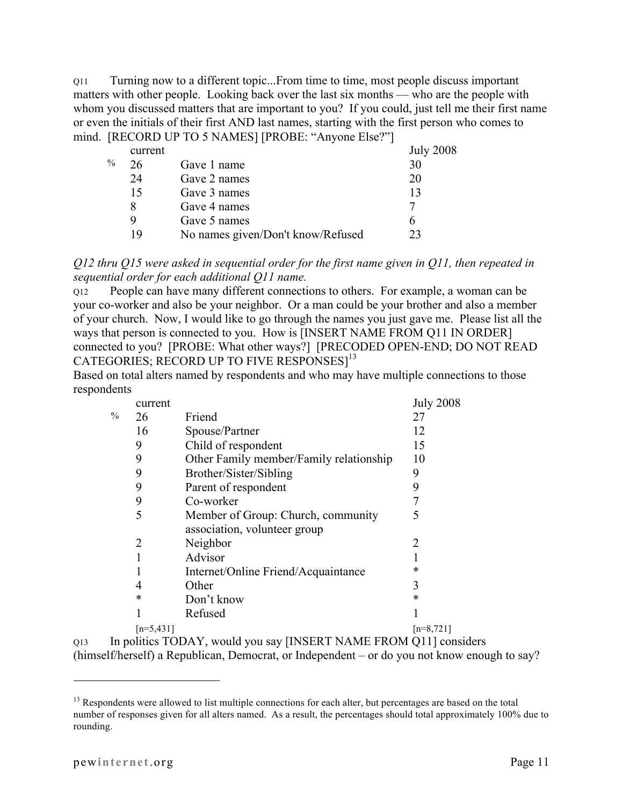Q11 Turning now to a different topic...From time to time, most people discuss important matters with other people. Looking back over the last six months — who are the people with whom you discussed matters that are important to you? If you could, just tell me their first name or even the initials of their first AND last names, starting with the first person who comes to mind. [RECORD UP TO 5 NAMES] [PROBE: "Anyone Else?"]

|               | current |                                   | <b>July 2008</b> |
|---------------|---------|-----------------------------------|------------------|
| $\frac{0}{0}$ | 26      | Gave 1 name                       | 30               |
|               | 24      | Gave 2 names                      | 20               |
|               | 15      | Gave 3 names                      | 13               |
|               | 8       | Gave 4 names                      |                  |
|               | 9       | Gave 5 names                      |                  |
|               | 19      | No names given/Don't know/Refused | 23               |
|               |         |                                   |                  |

*Q12 thru Q15 were asked in sequential order for the first name given in Q11, then repeated in sequential order for each additional Q11 name.*

Q12 People can have many different connections to others. For example, a woman can be your co-worker and also be your neighbor. Or a man could be your brother and also a member of your church. Now, I would like to go through the names you just gave me. Please list all the ways that person is connected to you. How is [INSERT NAME FROM Q11 IN ORDER] connected to you? [PROBE: What other ways?] [PRECODED OPEN-END; DO NOT READ CATEGORIES; RECORD UP TO FIVE RESPONSES]<sup>13</sup>

Based on total alters named by respondents and who may have multiple connections to those respondents

|               | current     |                                         | <b>July 2008</b> |
|---------------|-------------|-----------------------------------------|------------------|
| $\frac{0}{0}$ | 26          | Friend                                  | 27               |
|               | 16          | Spouse/Partner                          | 12               |
|               | 9           | Child of respondent                     | 15               |
|               | 9           | Other Family member/Family relationship | 10               |
|               | 9           | Brother/Sister/Sibling                  | 9                |
|               | 9           | Parent of respondent                    | 9                |
|               | 9           | Co-worker                               |                  |
|               | 5           | Member of Group: Church, community      | 5                |
|               |             | association, volunteer group            |                  |
|               | 2           | Neighbor                                | 2                |
|               |             | Advisor                                 |                  |
|               |             | Internet/Online Friend/Acquaintance     | ∗                |
|               | 4           | Other                                   | 3                |
|               | ∗           | Don't know                              | ∗                |
|               |             | Refused                                 |                  |
|               | $[n=5,431]$ |                                         | $[n=8,721]$      |
|               |             |                                         |                  |

Q13 In politics TODAY, would you say [INSERT NAME FROM Q11] considers (himself/herself) a Republican, Democrat, or Independent – or do you not know enough to say?

<sup>&</sup>lt;sup>13</sup> Respondents were allowed to list multiple connections for each alter, but percentages are based on the total number of responses given for all alters named. As a result, the percentages should total approximately 100% due to rounding.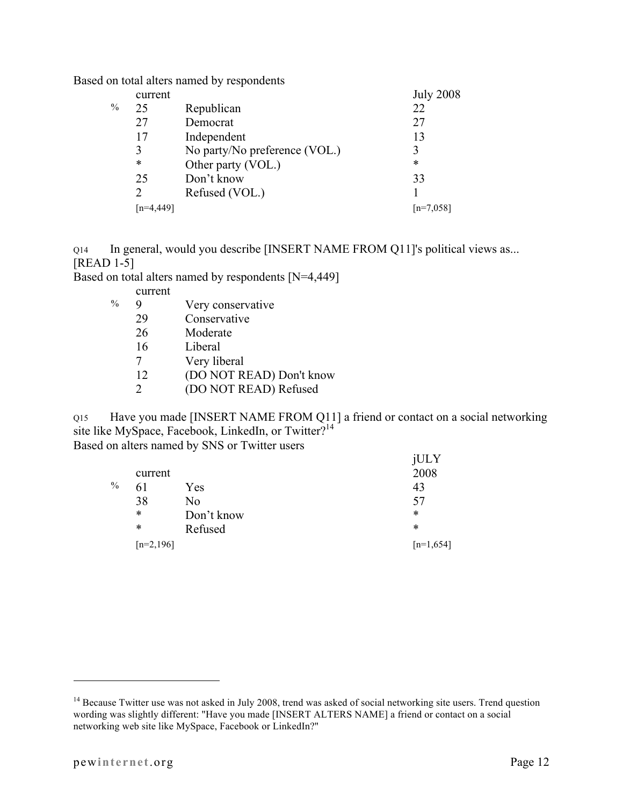Based on total alters named by respondents

|   | current        |                               | <b>July 2008</b> |
|---|----------------|-------------------------------|------------------|
| % | 25             | Republican                    | 22               |
|   | 27             | Democrat                      | 27               |
|   | 17             | Independent                   | 13               |
|   | 3              | No party/No preference (VOL.) |                  |
|   | *              | Other party (VOL.)            | $\ast$           |
|   | 25             | Don't know                    | 33               |
|   | $\mathfrak{D}$ | Refused (VOL.)                |                  |
|   |                |                               | $[n=7.058]$      |
|   |                |                               |                  |

Q14 In general, would you describe [INSERT NAME FROM Q11]'s political views as... [READ 1-5]

Based on total alters named by respondents [N=4,449]

- current
- % 9 Very conservative
	- 29 Conservative
	- 26 Moderate
	- 16 Liberal
	- 7 Very liberal
	- 12 (DO NOT READ) Don't know
	- 2 (DO NOT READ) Refused

Q15 Have you made [INSERT NAME FROM Q11] a friend or contact on a social networking site like MySpace, Facebook, LinkedIn, or Twitter?<sup>14</sup> Based on alters named by SNS or Twitter users

jULY

|               |             |            | JUL Y       |
|---------------|-------------|------------|-------------|
|               | current     |            | 2008        |
| $\frac{0}{0}$ | 61          | Yes        | 43          |
|               | 38          | No         | 57          |
|               | *           | Don't know | *           |
|               | *           | Refused    | *           |
|               | $[n=2,196]$ |            | $[n=1,654]$ |
|               |             |            |             |

<sup>&</sup>lt;sup>14</sup> Because Twitter use was not asked in July 2008, trend was asked of social networking site users. Trend question wording was slightly different: "Have you made [INSERT ALTERS NAME] a friend or contact on a social networking web site like MySpace, Facebook or LinkedIn?"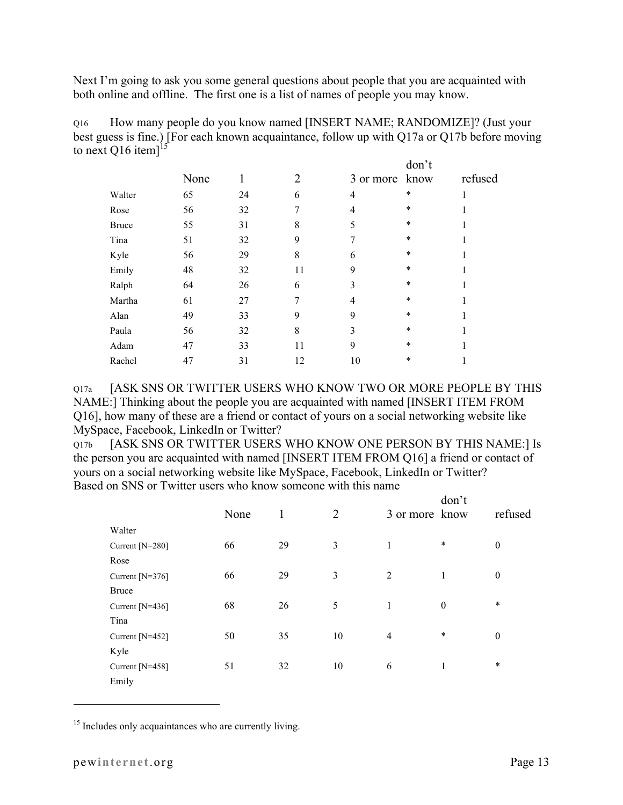Next I'm going to ask you some general questions about people that you are acquainted with both online and offline. The first one is a list of names of people you may know.

Q16 How many people do you know named [INSERT NAME; RANDOMIZE]? (Just your best guess is fine.) [For each known acquaintance, follow up with Q17a or Q17b before moving to next Q16 item] $^{15}$  $\frac{1}{2}$ an<sup>24</sup>

|              |      |    |    |                | aon t  |         |
|--------------|------|----|----|----------------|--------|---------|
|              | None |    | 2  | 3 or more know |        | refused |
| Walter       | 65   | 24 | 6  | $\overline{4}$ | *      |         |
| Rose         | 56   | 32 |    | 4              | $\ast$ |         |
| <b>Bruce</b> | 55   | 31 | 8  | 5              | $\ast$ |         |
| Tina         | 51   | 32 | 9  | 7              | $\ast$ |         |
| Kyle         | 56   | 29 | 8  | 6              | $\ast$ |         |
| Emily        | 48   | 32 | 11 | 9              | $\ast$ |         |
| Ralph        | 64   | 26 | 6  | 3              | $\ast$ |         |
| Martha       | 61   | 27 | 7  | 4              | $\ast$ |         |
| Alan         | 49   | 33 | 9  | 9              | *      |         |
| Paula        | 56   | 32 | 8  | 3              | *      |         |
| Adam         | 47   | 33 | 11 | 9              | *      |         |
| Rachel       | 47   | 31 | 12 | 10             | *      |         |

Q17a [ASK SNS OR TWITTER USERS WHO KNOW TWO OR MORE PEOPLE BY THIS NAME:] Thinking about the people you are acquainted with named [INSERT ITEM FROM Q16], how many of these are a friend or contact of yours on a social networking website like MySpace, Facebook, LinkedIn or Twitter?

Q17b [ASK SNS OR TWITTER USERS WHO KNOW ONE PERSON BY THIS NAME:] Is the person you are acquainted with named [INSERT ITEM FROM Q16] a friend or contact of yours on a social networking website like MySpace, Facebook, LinkedIn or Twitter? Based on SNS or Twitter users who know someone with this name

|                   | None | 1  | $\overline{2}$ |                | don't<br>3 or more know | refused          |
|-------------------|------|----|----------------|----------------|-------------------------|------------------|
| Walter            |      |    |                |                |                         |                  |
| Current $[N=280]$ | 66   | 29 | 3              | 1              | $\ast$                  | $\boldsymbol{0}$ |
| Rose              |      |    |                |                |                         |                  |
| Current $[N=376]$ | 66   | 29 | 3              | 2              | 1                       | $\boldsymbol{0}$ |
| <b>Bruce</b>      |      |    |                |                |                         |                  |
| Current $[N=436]$ | 68   | 26 | 5              | 1              | $\theta$                | $\ast$           |
| Tina              |      |    |                |                |                         |                  |
| Current [N=452]   | 50   | 35 | 10             | $\overline{4}$ | $\ast$                  | $\boldsymbol{0}$ |
| Kyle              |      |    |                |                |                         |                  |
| Current $[N=458]$ | 51   | 32 | 10             | 6              | 1                       | $\ast$           |
| Emily             |      |    |                |                |                         |                  |

<sup>15</sup> Includes only acquaintances who are currently living.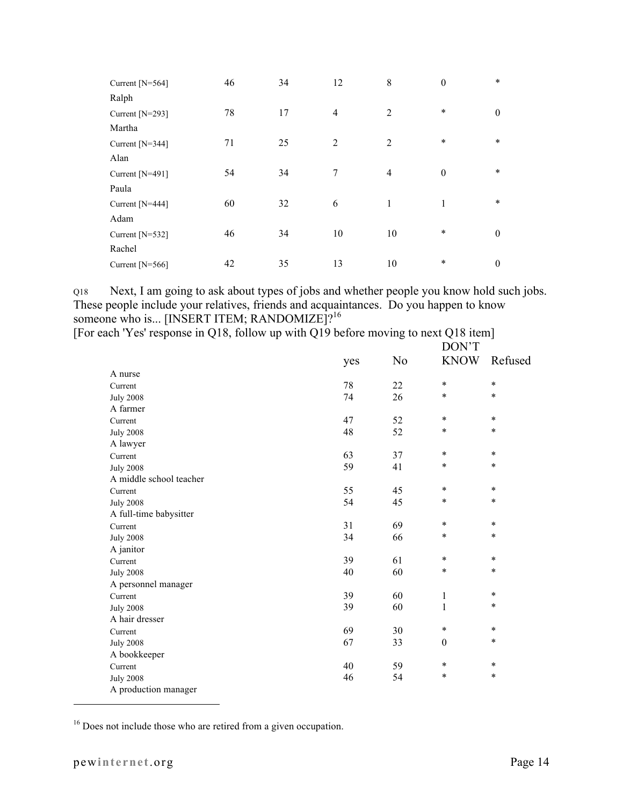| Current $[N=564]$ | 46 | 34 | 12             | 8              | $\boldsymbol{0}$ | $\ast$           |
|-------------------|----|----|----------------|----------------|------------------|------------------|
| Ralph             |    |    |                |                |                  |                  |
| Current [N=293]   | 78 | 17 | $\overline{4}$ | $\overline{2}$ | $\ast$           | $\theta$         |
| Martha            |    |    |                |                |                  |                  |
| Current [N=344]   | 71 | 25 | $\overline{2}$ | $\overline{2}$ | $\ast$           | $\ast$           |
| Alan              |    |    |                |                |                  |                  |
| Current [N=491]   | 54 | 34 | 7              | $\overline{4}$ | $\boldsymbol{0}$ | $\ast$           |
| Paula             |    |    |                |                |                  |                  |
| Current [N=444]   | 60 | 32 | 6              | 1              | 1                | $\ast$           |
| Adam              |    |    |                |                |                  |                  |
| Current [N=532]   | 46 | 34 | 10             | 10             | $\ast$           | $\theta$         |
| Rachel            |    |    |                |                |                  |                  |
| Current $[N=566]$ | 42 | 35 | 13             | 10             | $\ast$           | $\boldsymbol{0}$ |

Q18 Next, I am going to ask about types of jobs and whether people you know hold such jobs. These people include your relatives, friends and acquaintances. Do you happen to know someone who is... [INSERT ITEM; RANDOMIZE]?<sup>16</sup>

| [For each 'Yes' response in Q18, follow up with Q19 before moving to next Q18 item] |  |  |       |
|-------------------------------------------------------------------------------------|--|--|-------|
|                                                                                     |  |  | DON'T |

|                         | yes | N <sub>0</sub> | DUN 1<br><b>KNOW</b> | Refused |
|-------------------------|-----|----------------|----------------------|---------|
| A nurse                 |     |                |                      |         |
| Current                 | 78  | 22             | $\ast$               | $\ast$  |
| <b>July 2008</b>        | 74  | 26             | $\ast$               | $\ast$  |
| A farmer                |     |                |                      |         |
| Current                 | 47  | 52             | $\ast$               | $\ast$  |
| <b>July 2008</b>        | 48  | 52             | $\ast$               | $\ast$  |
| A lawyer                |     |                |                      |         |
| Current                 | 63  | 37             | $\ast$               | $\ast$  |
| <b>July 2008</b>        | 59  | 41             | $\ast$               | $\ast$  |
| A middle school teacher |     |                |                      |         |
| Current                 | 55  | 45             | $\ast$               | $\ast$  |
| <b>July 2008</b>        | 54  | 45             | $\ast$               | $\ast$  |
| A full-time babysitter  |     |                |                      |         |
| Current                 | 31  | 69             | $\ast$               | $\ast$  |
| <b>July 2008</b>        | 34  | 66             | $\ast$               | $\ast$  |
| A janitor               |     |                |                      |         |
| Current                 | 39  | 61             | $\ast$               | $\ast$  |
| <b>July 2008</b>        | 40  | 60             | $\ast$               | $\ast$  |
| A personnel manager     |     |                |                      |         |
| Current                 | 39  | 60             | 1                    | $\ast$  |
| <b>July 2008</b>        | 39  | 60             | $\mathbf{1}$         | $\ast$  |
| A hair dresser          |     |                |                      |         |
| Current                 | 69  | 30             | $\ast$               | $\ast$  |
| <b>July 2008</b>        | 67  | 33             | $\boldsymbol{0}$     | $\ast$  |
| A bookkeeper            |     |                |                      |         |
| Current                 | 40  | 59             | $\ast$               | $\ast$  |
| <b>July 2008</b>        | 46  | 54             | $\ast$               | $\ast$  |
| A production manager    |     |                |                      |         |

<sup>16</sup> Does not include those who are retired from a given occupation.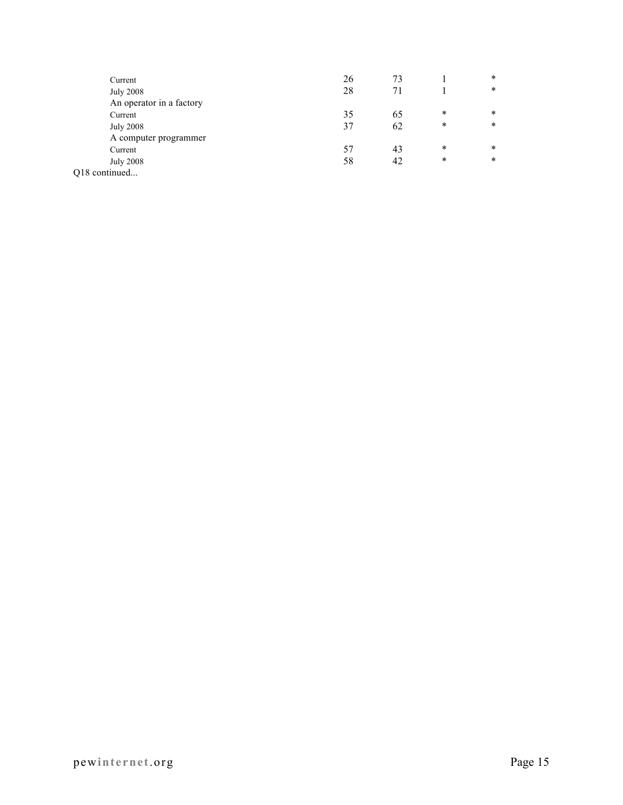| Current                  | 26 | 73 |        | $\ast$ |
|--------------------------|----|----|--------|--------|
| <b>July 2008</b>         | 28 | 71 |        | $\ast$ |
| An operator in a factory |    |    |        |        |
| Current                  | 35 | 65 | $\ast$ | $\ast$ |
| <b>July 2008</b>         | 37 | 62 | $\ast$ | $\ast$ |
| A computer programmer    |    |    |        |        |
| Current                  | 57 | 43 | $\ast$ | $\ast$ |
| <b>July 2008</b>         | 58 | 42 | $\ast$ | $\ast$ |
| Q18 continued            |    |    |        |        |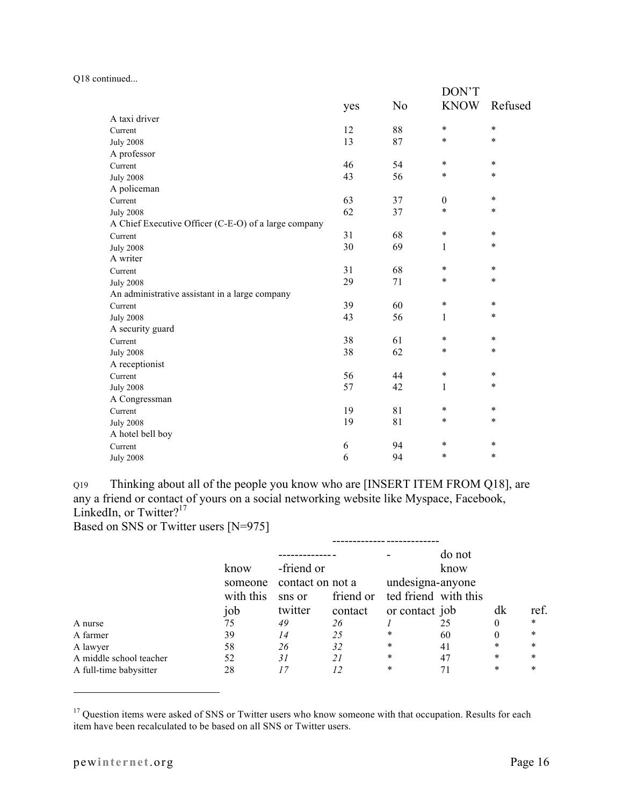Q18 continued...

|                                                      |     |                | DON'T        |         |  |
|------------------------------------------------------|-----|----------------|--------------|---------|--|
|                                                      | yes | N <sub>0</sub> | <b>KNOW</b>  | Refused |  |
| A taxi driver                                        |     |                |              |         |  |
| Current                                              | 12  | 88             | $\ast$       | $\star$ |  |
| <b>July 2008</b>                                     | 13  | 87             | $\ast$       | $\star$ |  |
| A professor                                          |     |                |              |         |  |
| Current                                              | 46  | 54             | $\ast$       | $\ast$  |  |
| <b>July 2008</b>                                     | 43  | 56             | $\ast$       | $\ast$  |  |
| A policeman                                          |     |                |              |         |  |
| Current                                              | 63  | 37             | $\mathbf{0}$ | $\star$ |  |
| <b>July 2008</b>                                     | 62  | 37             | $\ast$       | $\star$ |  |
| A Chief Executive Officer (C-E-O) of a large company |     |                |              |         |  |
| Current                                              | 31  | 68             | $\ast$       | $\ast$  |  |
| <b>July 2008</b>                                     | 30  | 69             | 1            | $\ast$  |  |
| A writer                                             |     |                |              |         |  |
| Current                                              | 31  | 68             | $\ast$       | $\ast$  |  |
| <b>July 2008</b>                                     | 29  | 71             | $\ast$       | $\ast$  |  |
| An administrative assistant in a large company       |     |                |              |         |  |
| Current                                              | 39  | 60             | $\ast$       | $\ast$  |  |
| <b>July 2008</b>                                     | 43  | 56             | 1            | $\ast$  |  |
| A security guard                                     |     |                |              |         |  |
| Current                                              | 38  | 61             | $\ast$       | $\ast$  |  |
| <b>July 2008</b>                                     | 38  | 62             | $\ast$       | $\star$ |  |
| A receptionist                                       |     |                |              |         |  |
| Current                                              | 56  | 44             | $\ast$       | $\ast$  |  |
| <b>July 2008</b>                                     | 57  | 42             | 1            | $\ast$  |  |
| A Congressman                                        |     |                |              |         |  |
| Current                                              | 19  | 81             | $\ast$       | $\ast$  |  |
| <b>July 2008</b>                                     | 19  | 81             | $\ast$       | $\ast$  |  |
| A hotel bell boy                                     |     |                |              |         |  |
| Current                                              | 6   | 94             | $\ast$       | $\ast$  |  |
| <b>July 2008</b>                                     | 6   | 94             | $\ast$       | $\ast$  |  |

Q19 Thinking about all of the people you know who are [INSERT ITEM FROM Q18], are any a friend or contact of yours on a social networking website like Myspace, Facebook, LinkedIn, or Twitter?<sup>17</sup>

Based on SNS or Twitter users [N=975]

|                         |           |                  |         |                                | do not |        |        |
|-------------------------|-----------|------------------|---------|--------------------------------|--------|--------|--------|
|                         | know      | -friend or       |         |                                | know   |        |        |
|                         | someone   | contact on not a |         | undesigna-anyone               |        |        |        |
|                         | with this | sns or           |         | friend or ted friend with this |        |        |        |
|                         | job       | twitter          | contact | or contact job                 |        | dk     | ref.   |
| A nurse                 | 75        | 49               | 26      |                                | 25     | 0      | $\ast$ |
| A farmer                | 39        | 14               | 25      | ∗                              | 60     | 0      | $\ast$ |
| A lawyer                | 58        | 26               | 32      | ∗                              | 41     | $\ast$ | $\ast$ |
| A middle school teacher | 52        | 31               | 21      | $\ast$                         | 47     | $\ast$ | $\ast$ |
| A full-time babysitter  | 28        |                  | 12      | $\ast$                         | 71     | $\ast$ | $\ast$ |

<sup>&</sup>lt;sup>17</sup> Question items were asked of SNS or Twitter users who know someone with that occupation. Results for each item have been recalculated to be based on all SNS or Twitter users.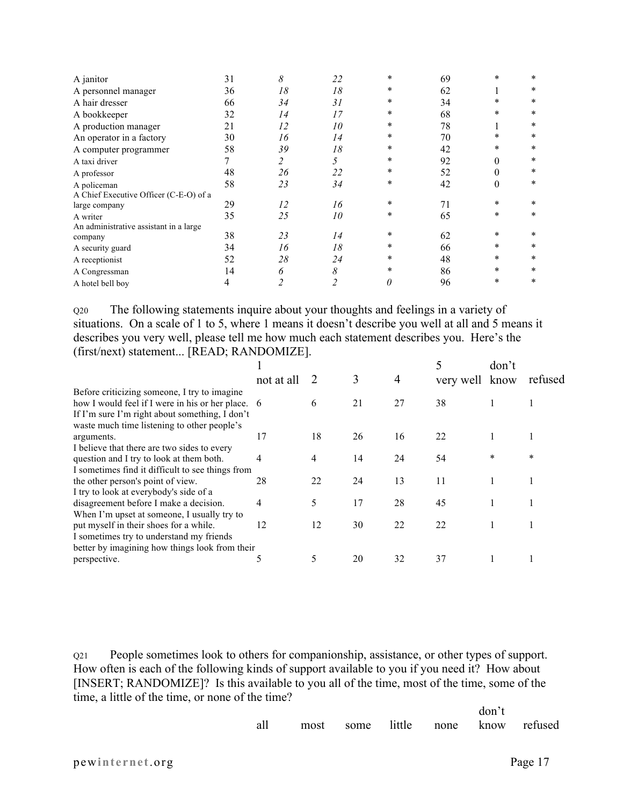| A janitor                              | 31 | 8  | 22                      | $\ast$ | 69 | $\ast$   | $\ast$ |
|----------------------------------------|----|----|-------------------------|--------|----|----------|--------|
| A personnel manager                    | 36 | 18 | 18                      | $\ast$ | 62 |          | $\ast$ |
| A hair dresser                         | 66 | 34 | 31                      | $\ast$ | 34 | $\ast$   | $\ast$ |
| A bookkeeper                           | 32 | 14 | 17                      | *      | 68 | $\ast$   | $\ast$ |
| A production manager                   | 21 | 12 | 10                      | *      | 78 |          | $\ast$ |
| An operator in a factory               | 30 | 16 | 14                      | *      | 70 | $\ast$   | $\ast$ |
| A computer programmer                  | 58 | 39 | 18                      | *      | 42 | *        | $\ast$ |
| A taxi driver                          |    | 2  | 5                       | *      | 92 | $\theta$ | $\ast$ |
| A professor                            | 48 | 26 | 22                      | *      | 52 | $\theta$ | $\ast$ |
| A policeman                            | 58 | 23 | 34                      | *      | 42 | $\theta$ | $\ast$ |
| A Chief Executive Officer (C-E-O) of a |    |    |                         |        |    |          |        |
| large company                          | 29 | 12 | 16                      | $\ast$ | 71 | *        | $\ast$ |
| A writer                               | 35 | 25 | 10                      | *      | 65 | $\ast$   | $\ast$ |
| An administrative assistant in a large |    |    |                         |        |    |          |        |
| company                                | 38 | 23 | 14                      | *      | 62 | *        | $\ast$ |
| A security guard                       | 34 | 16 | 18                      | $\ast$ | 66 | *        | $\ast$ |
| A receptionist                         | 52 | 28 | 24                      | *      | 48 | $\ast$   | $\ast$ |
| A Congressman                          | 14 | 6  | $\boldsymbol{\delta}$   | $\ast$ | 86 | $\ast$   | $\ast$ |
| A hotel bell boy                       |    |    | $\overline{\mathbf{c}}$ | 0      | 96 | $\ast$   | $\ast$ |

Q20 The following statements inquire about your thoughts and feelings in a variety of situations. On a scale of 1 to 5, where 1 means it doesn't describe you well at all and 5 means it describes you very well, please tell me how much each statement describes you. Here's the (first/next) statement... [READ; RANDOMIZE].

|                                                   |            |    |    |    |           | don't  |         |
|---------------------------------------------------|------------|----|----|----|-----------|--------|---------|
|                                                   | not at all |    | 3  | 4  | very well | know   | refused |
| Before criticizing someone, I try to imagine      |            |    |    |    |           |        |         |
| how I would feel if I were in his or her place. 6 |            | 6  | 21 | 27 | 38        |        |         |
| If I'm sure I'm right about something, I don't    |            |    |    |    |           |        |         |
| waste much time listening to other people's       |            |    |    |    |           |        |         |
| arguments.                                        | 17         | 18 | 26 | 16 | 22        |        |         |
| I believe that there are two sides to every       |            |    |    |    |           |        |         |
| question and I try to look at them both.          | 4          | 4  | 14 | 24 | 54        | $\ast$ | *       |
| I sometimes find it difficult to see things from  |            |    |    |    |           |        |         |
| the other person's point of view.                 | 28         | 22 | 24 | 13 | 11        |        |         |
| I try to look at everybody's side of a            |            |    |    |    |           |        |         |
| disagreement before I make a decision.            | 4          | 5  | 17 | 28 | 45        |        |         |
| When I'm upset at someone, I usually try to       |            |    |    |    |           |        |         |
| put myself in their shoes for a while.            | 12         | 12 | 30 | 22 | 22        |        |         |
| I sometimes try to understand my friends          |            |    |    |    |           |        |         |
| better by imagining how things look from their    |            |    |    |    |           |        |         |
| perspective.                                      |            | 5  | 20 | 32 | 37        |        |         |
|                                                   |            |    |    |    |           |        |         |

Q21 People sometimes look to others for companionship, assistance, or other types of support. How often is each of the following kinds of support available to you if you need it? How about [INSERT; RANDOMIZE]? Is this available to you all of the time, most of the time, some of the time, a little of the time, or none of the time?

|                                        |  | don't |  |
|----------------------------------------|--|-------|--|
| all most some little none know refused |  |       |  |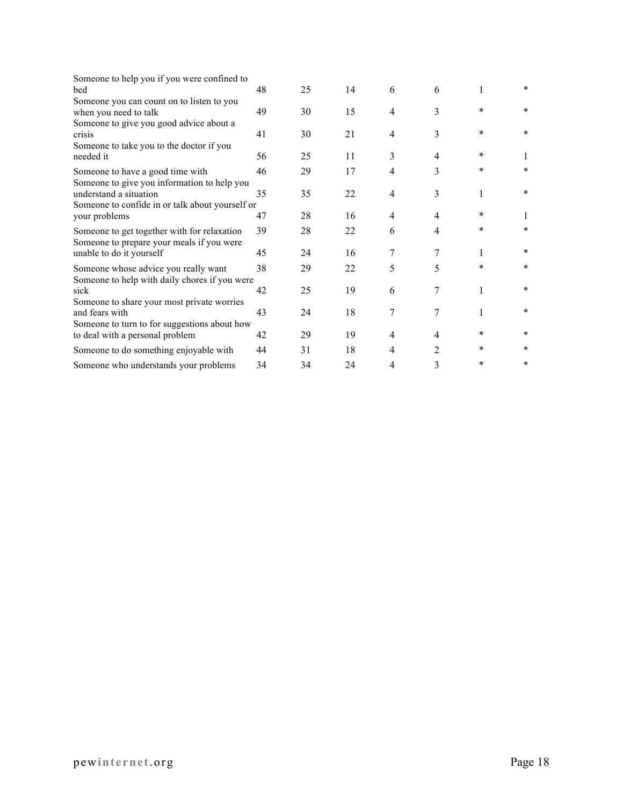| Someone to help you if you were confined to<br>bed                                       | 48 | 25 | 14 | 6              | 6              | 1      | $\ast$ |
|------------------------------------------------------------------------------------------|----|----|----|----------------|----------------|--------|--------|
|                                                                                          |    |    |    |                |                |        |        |
| Someone you can count on to listen to you<br>when you need to talk                       | 49 | 30 | 15 | 4              | 3              | $\ast$ | $\ast$ |
| Someone to give you good advice about a<br>crisis                                        | 41 | 30 | 21 | 4              | 3              | $\ast$ | $\ast$ |
| Someone to take you to the doctor if you<br>needed it                                    | 56 | 25 | 11 | 3              | 4              | $\ast$ |        |
| Someone to have a good time with<br>Someone to give you information to help you          | 46 | 29 | 17 | 4              | 3              | $\ast$ | $\ast$ |
| understand a situation<br>Someone to confide in or talk about yourself or                | 35 | 35 | 22 | $\overline{4}$ | 3              | 1      | $\ast$ |
| your problems                                                                            | 47 | 28 | 16 | $\overline{4}$ | 4              | *      | 1      |
| Someone to get together with for relaxation<br>Someone to prepare your meals if you were | 39 | 28 | 22 | 6              | 4              | $\ast$ | $\ast$ |
| unable to do it yourself                                                                 | 45 | 24 | 16 | 7              | 7              | 1      | $\ast$ |
| Someone whose advice you really want<br>Someone to help with daily chores if you were    | 38 | 29 | 22 | 5              | 5              | *      | $\ast$ |
| sick                                                                                     | 42 | 25 | 19 | 6              | 7              | 1      | $\ast$ |
| Someone to share your most private worries<br>and fears with                             | 43 | 24 | 18 | 7              | 7              | 1      | $\ast$ |
| Someone to turn to for suggestions about how<br>to deal with a personal problem          | 42 | 29 | 19 | $\overline{4}$ | $\overline{4}$ | $\ast$ | $\ast$ |
| Someone to do something enjoyable with                                                   | 44 | 31 | 18 | 4              | 2              | $\ast$ | $\ast$ |
| Someone who understands your problems                                                    | 34 | 34 | 24 | 4              | 3              | $\ast$ | $\ast$ |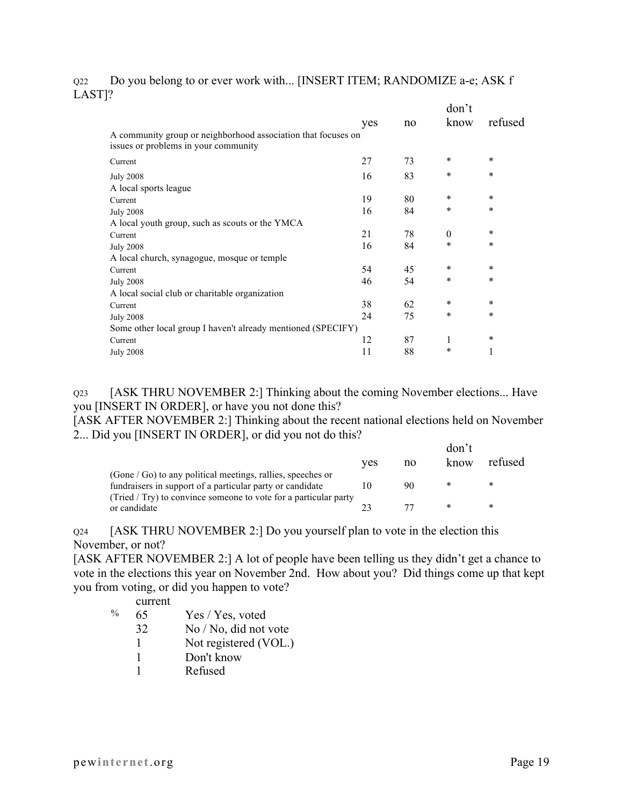## Q22 Do you belong to or ever work with... [INSERT ITEM; RANDOMIZE a-e; ASK f LAST]?

|                                                                                                       |     |    | don't    |         |
|-------------------------------------------------------------------------------------------------------|-----|----|----------|---------|
|                                                                                                       | yes | no | know     | refused |
| A community group or neighborhood association that focuses on<br>issues or problems in your community |     |    |          |         |
| Current                                                                                               | 27  | 73 | *        | $\ast$  |
| <b>July 2008</b><br>A local sports league                                                             | 16  | 83 | $\ast$   | $\star$ |
| Current                                                                                               | 19  | 80 | *        | $\ast$  |
| <b>July 2008</b>                                                                                      | 16  | 84 | $\ast$   | $\star$ |
| A local youth group, such as scouts or the YMCA                                                       |     |    |          |         |
| Current                                                                                               | 21  | 78 | $\theta$ | $\ast$  |
| <b>July 2008</b>                                                                                      | 16  | 84 | $\ast$   | $\ast$  |
| A local church, synagogue, mosque or temple                                                           |     |    |          |         |
| Current                                                                                               | 54  | 45 | *        | $\ast$  |
| <b>July 2008</b>                                                                                      | 46  | 54 | *        | $\ast$  |
| A local social club or charitable organization                                                        |     |    |          |         |
| Current                                                                                               | 38  | 62 | *        | $\ast$  |
| <b>July 2008</b>                                                                                      | 24  | 75 | *        | $\star$ |
| Some other local group I haven't already mentioned (SPECIFY)                                          |     |    |          |         |
| Current                                                                                               | 12  | 87 | 1        | $\ast$  |
| <b>July 2008</b>                                                                                      | 11  | 88 | *        | 1       |
|                                                                                                       |     |    |          |         |

Q23 [ASK THRU NOVEMBER 2:] Thinking about the coming November elections... Have you [INSERT IN ORDER], or have you not done this?

[ASK AFTER NOVEMBER 2:] Thinking about the recent national elections held on November 2... Did you [INSERT IN ORDER], or did you not do this?

|                                                                    | ves | no | don't<br>know | refused |
|--------------------------------------------------------------------|-----|----|---------------|---------|
| $(Gone / Go)$ to any political meetings, rallies, speeches or      |     |    |               |         |
| fundraisers in support of a particular party or candidate          |     | 90 | ∗             | *       |
| $(Tried / Try)$ to convince someone to vote for a particular party |     |    |               |         |
| or candidate                                                       |     |    | $\ast$        | *       |

Q24 [ASK THRU NOVEMBER 2:] Do you yourself plan to vote in the election this November, or not?

[ASK AFTER NOVEMBER 2:] A lot of people have been telling us they didn't get a chance to vote in the elections this year on November 2nd. How about you? Did things come up that kept you from voting, or did you happen to vote?

current

| Yes / Yes, voted | $\%$ | 65 |  |  |  |
|------------------|------|----|--|--|--|
|------------------|------|----|--|--|--|

- 32 No / No, did not vote
- 1 Not registered (VOL.)
- 1 Don't know
- 1 Refused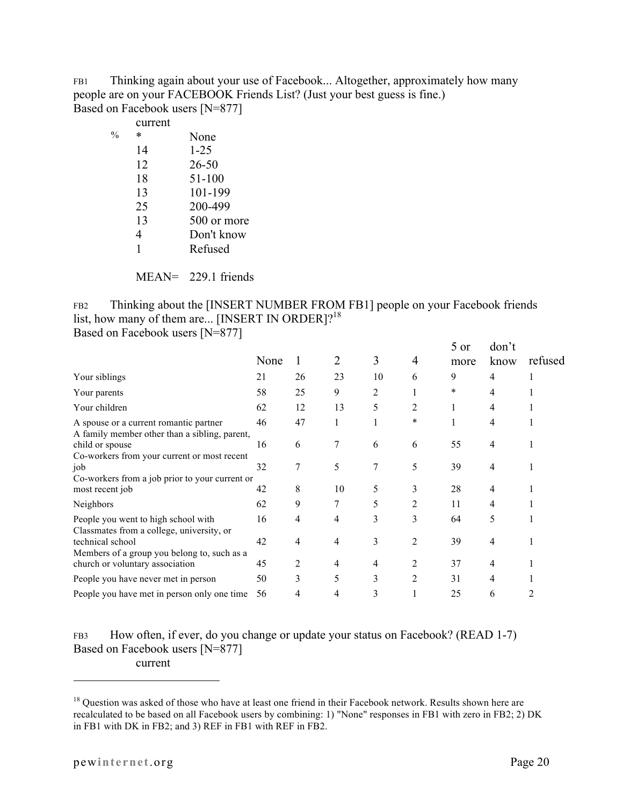FB1 Thinking again about your use of Facebook... Altogether, approximately how many people are on your FACEBOOK Friends List? (Just your best guess is fine.) Based on Facebook users [N=877]

|               | current |             |
|---------------|---------|-------------|
| $\frac{0}{0}$ | ∗       | None        |
|               | 14      | $1 - 25$    |
|               | 12      | $26 - 50$   |
|               | 18      | 51-100      |
|               | 13      | 101-199     |
|               | 25      | 200-499     |
|               | 13      | 500 or more |
|               | 4       | Don't know  |
|               | 1       | Refused     |
|               |         |             |

MEAN= 229.1 friends

FB2 Thinking about the [INSERT NUMBER FROM FB1] people on your Facebook friends list, how many of them are... [INSERT IN ORDER]?<sup>18</sup> Based on Facebook users [N=877]

|                                                                                         | None | 1  | 2  | 3  | 4              | 5 or<br>more | don't<br>know | refused |
|-----------------------------------------------------------------------------------------|------|----|----|----|----------------|--------------|---------------|---------|
| Your siblings                                                                           | 21   | 26 | 23 | 10 | 6              | 9            | 4             |         |
| Your parents                                                                            | 58   | 25 | 9  | 2  |                | *            | 4             |         |
| Your children                                                                           | 62   | 12 | 13 | 5  | 2              |              | 4             |         |
| A spouse or a current romantic partner<br>A family member other than a sibling, parent, | 46   | 47 |    |    | $\ast$         |              | 4             |         |
| child or spouse<br>Co-workers from your current or most recent                          | 16   | 6  | 7  | 6  | 6              | 55           | 4             |         |
| job                                                                                     | 32   | 7  | 5  |    | 5              | 39           | 4             |         |
| Co-workers from a job prior to your current or<br>most recent job                       | 42   | 8  | 10 | 5  | 3              | 28           | 4             |         |
| Neighbors                                                                               | 62   | 9  | 7  | 5  | 2              | 11           | 4             |         |
| People you went to high school with<br>Classmates from a college, university, or        | 16   | 4  | 4  | 3  | 3              | 64           | 5             |         |
| technical school<br>Members of a group you belong to, such as a                         | 42   | 4  | 4  | 3  | 2              | 39           | 4             |         |
| church or voluntary association                                                         | 45   | 2  | 4  | 4  | 2              | 37           | 4             |         |
| People you have never met in person                                                     | 50   | 3  | 5  | 3  | $\overline{2}$ | 31           | 4             |         |
| People you have met in person only one time                                             | 56   | 4  | 4  | 3  |                | 25           | 6             |         |

FB3 How often, if ever, do you change or update your status on Facebook? (READ 1-7) Based on Facebook users [N=877] current

<sup>&</sup>lt;sup>18</sup> Question was asked of those who have at least one friend in their Facebook network. Results shown here are recalculated to be based on all Facebook users by combining: 1) "None" responses in FB1 with zero in FB2; 2) DK in FB1 with DK in FB2; and 3) REF in FB1 with REF in FB2.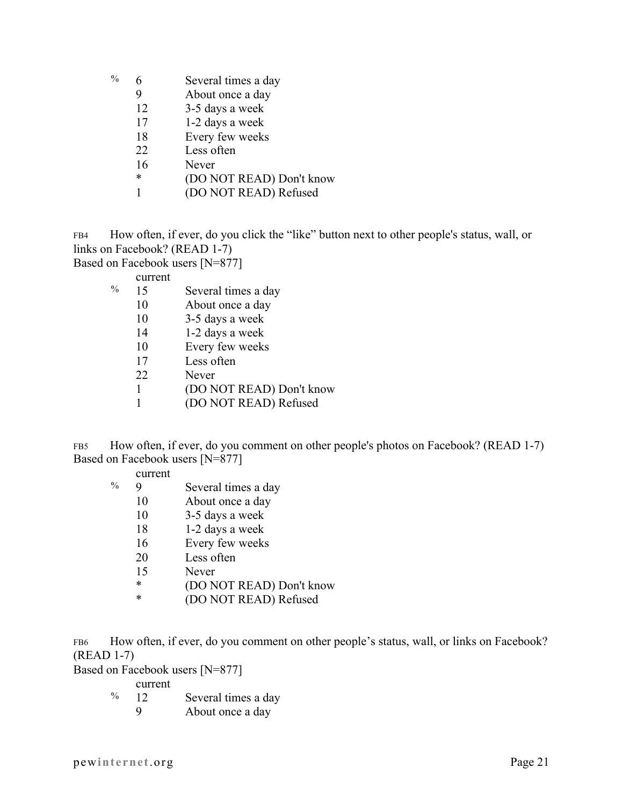- $\%$  6 Several times a day
	- 9 About once a day
	- 12 3-5 days a week
	- 17 1-2 days a week
	- 18 Every few weeks
	- 22 Less often
	- 16 Never
	- \* (DO NOT READ) Don't know
	- 1 (DO NOT READ) Refused

FB4 How often, if ever, do you click the "like" button next to other people's status, wall, or links on Facebook? (READ 1-7)

Based on Facebook users [N=877]

current

| %<br>Several times a day<br>15 |  |
|--------------------------------|--|
|--------------------------------|--|

- 10 About once a day
- 10 3-5 days a week
- 14 1-2 days a week
- 10 Every few weeks
- 17 Less often
- 22 Never
- 1 (DO NOT READ) Don't know
- 1 (DO NOT READ) Refused

FB5 How often, if ever, do you comment on other people's photos on Facebook? (READ 1-7) Based on Facebook users [N=877]

- % 9 Several times a day
	- 10 About once a day
	- 10 3-5 days a week
	- 18 1-2 days a week
	- 16 Every few weeks
	- 20 Less often
	- 15 Never
	- \* (DO NOT READ) Don't know
	- \* (DO NOT READ) Refused

FB6 How often, if ever, do you comment on other people's status, wall, or links on Facebook? (READ 1-7)

Based on Facebook users [N=877]

current

- % 12 Several times a day
	- 9 About once a day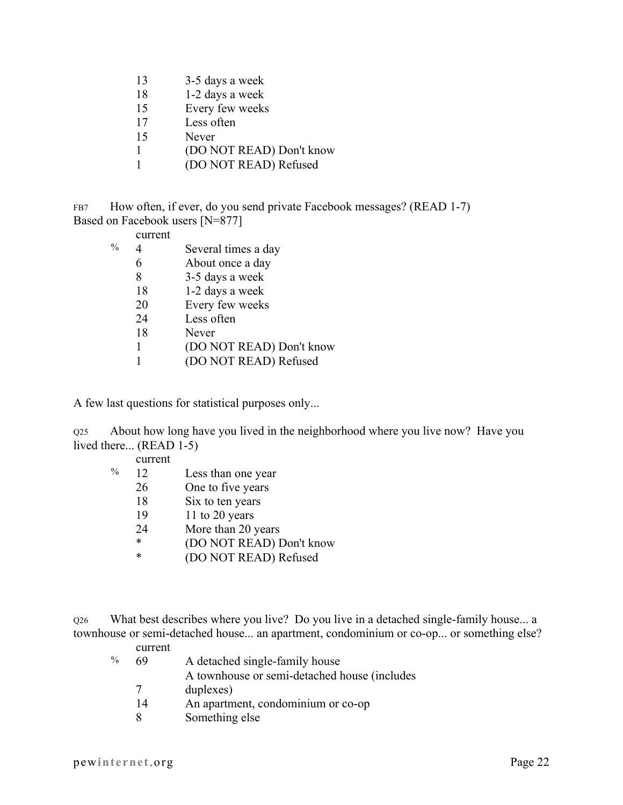- 13 3-5 days a week
- 18 1-2 days a week
- 15 Every few weeks
- 17 Less often
- 15 Never
- 1 (DO NOT READ) Don't know
- 1 (DO NOT READ) Refused

FB7 How often, if ever, do you send private Facebook messages? (READ 1-7) Based on Facebook users [N=877]

current

| $\frac{0}{0}$ |    | Several times a day      |
|---------------|----|--------------------------|
|               | 6  | About once a day         |
|               | 8  | 3-5 days a week          |
|               | 18 | 1-2 days a week          |
|               | 20 | Every few weeks          |
|               | 24 | Less often               |
|               | 18 | Never                    |
|               | 1  | (DO NOT READ) Don't know |
|               |    | (DO NOT READ) Refused    |

A few last questions for statistical purposes only...

Q25 About how long have you lived in the neighborhood where you live now? Have you lived there... (READ 1-5)

| current |                          |
|---------|--------------------------|
| 12      | Less than one year       |
| 26      | One to five years        |
| 18      | Six to ten years         |
| 19      | 11 to 20 years           |
| 24      | More than 20 years       |
| *       | (DO NOT READ) Don't know |
| *       | (DO NOT READ) Refused    |
|         |                          |

Q26 What best describes where you live? Do you live in a detached single-family house... a townhouse or semi-detached house... an apartment, condominium or co-op... or something else?

## current

| $\%$ | 69 | A detached single-family house               |
|------|----|----------------------------------------------|
|      |    | A townhouse or semi-detached house (includes |
|      | 7  | duplexes)                                    |
|      | 14 | An apartment, condominium or co-op           |
|      | 8  | Something else                               |

pewinternet.org Page 22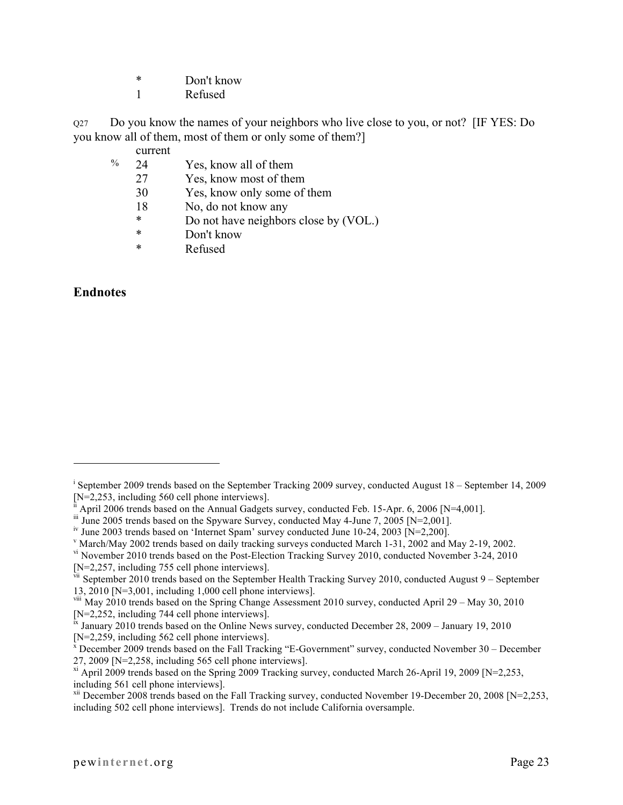- \* Don't know
- 1 Refused

Q27 Do you know the names of your neighbors who live close to you, or not? [IF YES: Do you know all of them, most of them or only some of them?]

current

- % 24 Yes, know all of them
	- 27 Yes, know most of them
	- 30 Yes, know only some of them
	- 18 No, do not know any
	- \* Do not have neighbors close by (VOL.)
	- \* Don't know
	- \* Refused

## **Endnotes**

 $\overline{a}$ 

 $V$  March/May 2002 trends based on daily tracking surveys conducted March 1-31, 2002 and May 2-19, 2002.

<sup>&</sup>lt;sup>i</sup> September 2009 trends based on the September Tracking 2009 survey, conducted August 18 – September 14, 2009

<sup>[</sup>N=2,253, including 560 cell phone interviews].<br>
"April 2006 trends based on the Annual Gadgets survey, conducted Feb. 15-Apr. 6, 2006 [N=4,001].<br>
"Une 2005 trends based on the Spyware Survey, conducted May 4-June 7, 2005

iv June 2003 trends based on 'Internet Spam' survey conducted June 10-24, 2003 [N=2,200].

vi November 2010 trends based on the Post-Election Tracking Survey 2010, conducted November 3-24, 2010 [N=2,257, including 755 cell phone interviews].

vii September 2010 trends based on the September Health Tracking Survey 2010, conducted August 9 – September 13, 2010 [N=3,001, including 1,000 cell phone interviews].

viii May 2010 trends based on the Spring Change Assessment 2010 survey, conducted April 29 – May 30, 2010 [N=2,252, including 744 cell phone interviews].

 $\frac{k}{N}$  January 2010 trends based on the Online News survey, conducted December 28, 2009 – January 19, 2010  $[N=2,259,$  including 562 cell phone interviews].

 $\bar{x}$  December 2009 trends based on the Fall Tracking "E-Government" survey, conducted November 30 – December 27, 2009 [N=2,258, including 565 cell phone interviews].

<sup>&</sup>lt;sup>xi</sup> April 2009 trends based on the Spring 2009 Tracking survey, conducted March 26-April 19, 2009 [N=2,253, including 561 cell phone interviews].

 $xii$  December 2008 trends based on the Fall Tracking survey, conducted November 19-December 20, 2008 [N=2,253, including 502 cell phone interviews]. Trends do not include California oversample.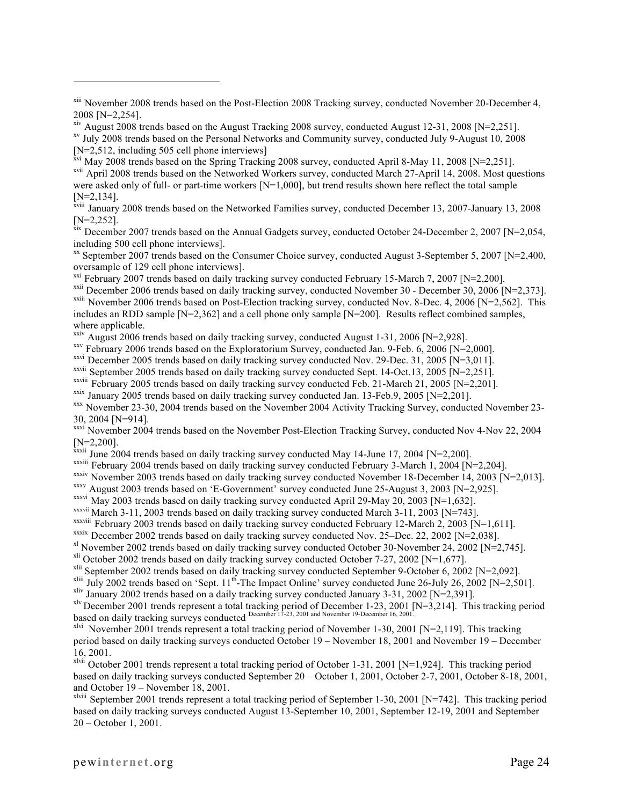<sup>xviii</sup> January 2008 trends based on the Networked Families survey, conducted December 13, 2007-January 13, 2008

[N=2,252].<br><sup>xix</sup> December 2007 trends based on the Annual Gadgets survey, conducted October 24-December 2, 2007 [N=2,054,

<sup>xx</sup> September 2007 trends based on the Consumer Choice survey, conducted August 3-September 5, 2007 [N=2,400, oversample of 129 cell phone interviews].<br>
<sup>xxi</sup> February 2007 trends based on daily tracking survey conducted February 15-March 7, 2007 [N=2,200].<br>
<sup>xxii</sup> December 2006 trends based on daily tracking survey, conducted Nov

includes an RDD sample [N=2,362] and a cell phone only sample [N=200]. Results reflect combined samples, where applicable.<br> $\frac{x}{x}$  August 2006 trends based on daily tracking survey, conducted August 1-31, 2006 [N=2,928].

 $xxy$  February 2006 trends based on the Exploratorium Survey, conducted Jan. 9-Feb. 6, 2006 [N=2,000].

xxvi December 2005 trends based on daily tracking survey conducted Nov. 29-Dec. 31, 2005 [N=3,011].

<sup>xxvii</sup> September 2005 trends based on daily tracking survey conducted Sept. 14-Oct.13, 2005 [N=2,251].<br><sup>xxviii</sup> February 2005 trends based on daily tracking survey conducted Feb. 21-March 21, 2005 [N=2,201].

 $\frac{x}{x}$  January 2005 trends based on daily tracking survey conducted Jan. 13-Feb.9, 2005 [N=2,201].<br> $\frac{x}{x}$  November 23-30, 2004 trends based on the November 2004 Activity Tracking Survey, conducted November 23-30, 2004 [N=914].

xxxi November 2004 trends based on the November Post-Election Tracking Survey, conducted Nov 4-Nov 22, 2004 [N=2,200].<br> $x^{xxiii}$  June 2004 trends based on daily tracking survey conducted May 14-June 17, 2004 [N=2,200].

 $x$ <sup>xxxiii</sup> February 2004 trends based on daily tracking survey conducted February 3-March 1, 2004 [N=2,204].

xxxiv November 2003 trends based on daily tracking survey conducted November 18-December 14, 2003 [N=2,013].<br><sup>xxxv</sup> August 2003 trends based on 'E-Government' survey conducted June 25-August 3, 2003 [N=2,925].

xxxvi May 2003 trends based on daily tracking survey conducted April 29-May 20, 2003 [N=1,632].

xxxvii March 3-11, 2003 trends based on daily tracking survey conducted March 3-11, 2003 [N=743].<br>xxxviii February 2003 trends based on daily tracking survey conducted February 12-March 2, 2003 [N=1,611].

- <sup>xxxix</sup> December 2002 trends based on daily tracking survey conducted Nov. 25–Dec. 22, 2002 [N=2,038].<br><sup>xl</sup> November 2002 trends based on daily tracking survey conducted October 30-November 24, 2002 [N=2,745].<br><sup>xli</sup> Octob
- 

<sup>xliv</sup> January 2002 trends based on a daily tracking survey conducted January 3-31, 2002 [N=2,391].<br><sup>xlv</sup> December 2001 trends represent a total tracking period of December 1-23, 2001 [N=3,214]. This tracking period based on daily tracking surveys conducted December 17-23, 2001 and November 19-December 16, 2001.

xlvi November 2001 trends represent a total tracking period of November 1-30, 2001 [N=2,119]. This tracking period based on daily tracking surveys conducted October 19 – November 18, 2001 and November 19 – December 16, 2001.

 $x$ lvii October 2001 trends represent a total tracking period of October 1-31, 2001 [N=1,924]. This tracking period based on daily tracking surveys conducted September 20 – October 1, 2001, October 2-7, 2001, October 8-18, 2001, and October 19 – November 18, 2001.

xlviii September 2001 trends represent a total tracking period of September 1-30, 2001 [N=742]. This tracking period based on daily tracking surveys conducted August 13-September 10, 2001, September 12-19, 2001 and September 20 – October 1, 2001.

<sup>&</sup>lt;sup>xiii</sup> November 2008 trends based on the Post-Election 2008 Tracking survey, conducted November 20-December 4, 2008 [N=2,254].

<sup>&</sup>lt;sup>xiv</sup> August 2008 trends based on the August Tracking 2008 survey, conducted August 12-31, 2008 [N=2,251].<br><sup>xv</sup> July 2008 trends based on the Personal Networks and Community survey, conducted July 9-August 10, 2008 [N=2,512, including 505 cell phone interviews]

 $\frac{x}{x}$ <sup>xvi</sup> May 2008 trends based on the Spring Tracking 2008 survey, conducted April 8-May 11, 2008 [N=2,251].

<sup>&</sup>lt;sup>xvii</sup> April 2008 trends based on the Networked Workers survey, conducted March 27-April 14, 2008. Most questions were asked only of full- or part-time workers [N=1,000], but trend results shown here reflect the total sample  $[N=2,134]$ .